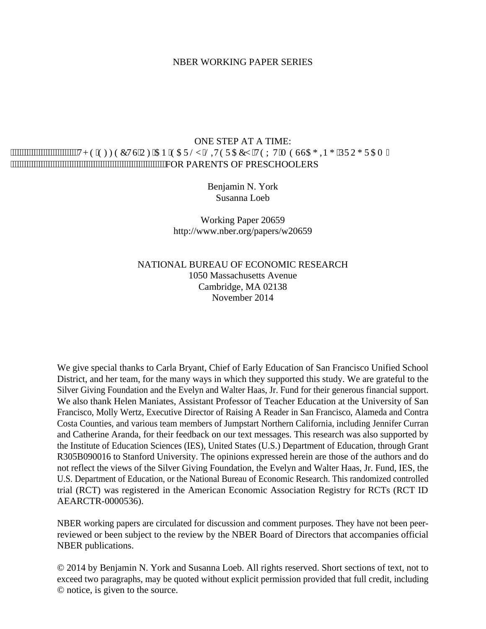#### NBER WORKING PAPER SERIES

# ONE STEP AT A TIME: """"""""""""""W G'GHHGEVU'QH'CP ''GC'TN| ''NKVGT'CE | ''VGZ'V''O GUUCI KP I ''RTQI TCO'' FOR PARENTS OF PRESCHOOLERS

Benjamin N. York Susanna Loeb

Working Paper 20659 http://www.nber.org/papers/w20659

# NATIONAL BUREAU OF ECONOMIC RESEARCH 1050 Massachusetts Avenue Cambridge, MA 02138 November 2014

We give special thanks to Carla Bryant, Chief of Early Education of San Francisco Unified School District, and her team, for the many ways in which they supported this study. We are grateful to the Silver Giving Foundation and the Evelyn and Walter Haas, Jr. Fund for their generous financial support. We also thank Helen Maniates, Assistant Professor of Teacher Education at the University of San Francisco, Molly Wertz, Executive Director of Raising A Reader in San Francisco, Alameda and Contra Costa Counties, and various team members of Jumpstart Northern California, including Jennifer Curran and Catherine Aranda, for their feedback on our text messages. This research was also supported by the Institute of Education Sciences (IES), United States (U.S.) Department of Education, through Grant R305B090016 to Stanford University. The opinions expressed herein are those of the authors and do not reflect the views of the Silver Giving Foundation, the Evelyn and Walter Haas, Jr. Fund, IES, the U.S. Department of Education, or the National Bureau of Economic Research. This randomized controlled trial (RCT) was registered in the American Economic Association Registry for RCTs (RCT ID AEARCTR-0000536).

NBER working papers are circulated for discussion and comment purposes. They have not been peerreviewed or been subject to the review by the NBER Board of Directors that accompanies official NBER publications.

© 2014 by Benjamin N. York and Susanna Loeb. All rights reserved. Short sections of text, not to exceed two paragraphs, may be quoted without explicit permission provided that full credit, including © notice, is given to the source.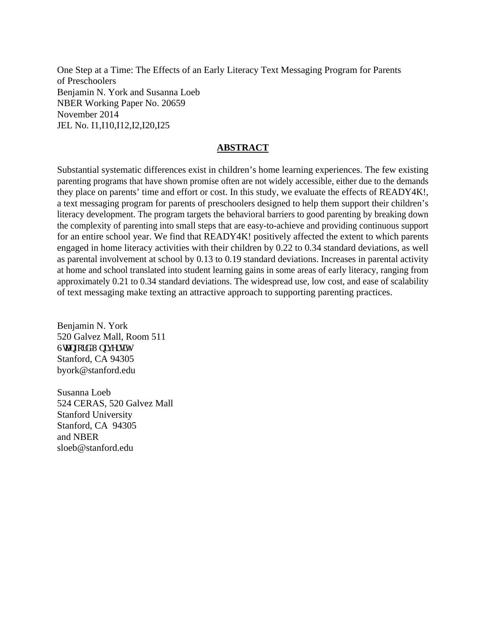One Step at a Time: The Effects of an Early Literacy Text Messaging Program for Parents of Preschoolers Benjamin N. York and Susanna Loeb NBER Working Paper No. 20659 November 2014 JEL No. I1,I10,I12,I2,I20,I25

# **ABSTRACT**

Substantial systematic differences exist in children's home learning experiences. The few existing parenting programs that have shown promise often are not widely accessible, either due to the demands they place on parents' time and effort or cost. In this study, we evaluate the effects of READY4K!, a text messaging program for parents of preschoolers designed to help them support their children's literacy development. The program targets the behavioral barriers to good parenting by breaking down the complexity of parenting into small steps that are easy-to-achieve and providing continuous support for an entire school year. We find that READY4K! positively affected the extent to which parents engaged in home literacy activities with their children by 0.22 to 0.34 standard deviations, as well as parental involvement at school by 0.13 to 0.19 standard deviations. Increases in parental activity at home and school translated into student learning gains in some areas of early literacy, ranging from approximately 0.21 to 0.34 standard deviations. The widespread use, low cost, and ease of scalability of text messaging make texting an attractive approach to supporting parenting practices.

Benjamin N. York 520 Galvez Mall, Room 511 Ucphqtf 'Wpkxgtuky Stanford, CA 94305 byork@stanford.edu

Susanna Loeb 524 CERAS, 520 Galvez Mall Stanford University Stanford, CA 94305 and NBER sloeb@stanford.edu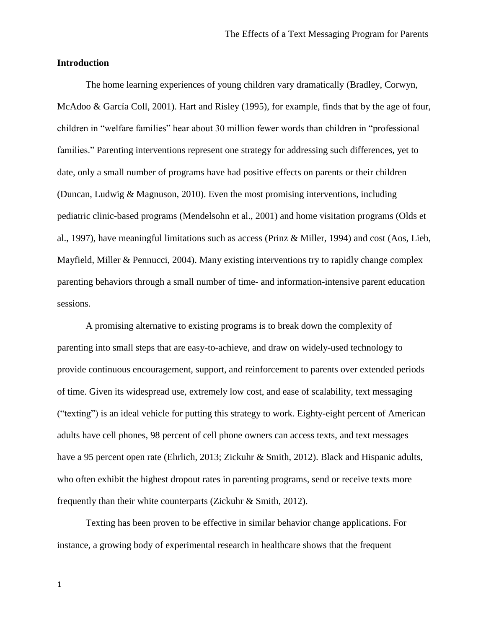# **Introduction**

The home learning experiences of young children vary dramatically (Bradley, Corwyn, McAdoo & García Coll, 2001). Hart and Risley (1995), for example, finds that by the age of four, children in "welfare families" hear about 30 million fewer words than children in "professional families." Parenting interventions represent one strategy for addressing such differences, yet to date, only a small number of programs have had positive effects on parents or their children (Duncan, Ludwig & Magnuson, 2010). Even the most promising interventions, including pediatric clinic-based programs (Mendelsohn et al., 2001) and home visitation programs (Olds et al., 1997), have meaningful limitations such as access (Prinz & Miller, 1994) and cost (Aos, Lieb, Mayfield, Miller & Pennucci, 2004). Many existing interventions try to rapidly change complex parenting behaviors through a small number of time- and information-intensive parent education sessions.

A promising alternative to existing programs is to break down the complexity of parenting into small steps that are easy-to-achieve, and draw on widely-used technology to provide continuous encouragement, support, and reinforcement to parents over extended periods of time. Given its widespread use, extremely low cost, and ease of scalability, text messaging ("texting") is an ideal vehicle for putting this strategy to work. Eighty-eight percent of American adults have cell phones, 98 percent of cell phone owners can access texts, and text messages have a 95 percent open rate (Ehrlich, 2013; Zickuhr & Smith, 2012). Black and Hispanic adults, who often exhibit the highest dropout rates in parenting programs, send or receive texts more frequently than their white counterparts (Zickuhr & Smith, 2012).

Texting has been proven to be effective in similar behavior change applications. For instance, a growing body of experimental research in healthcare shows that the frequent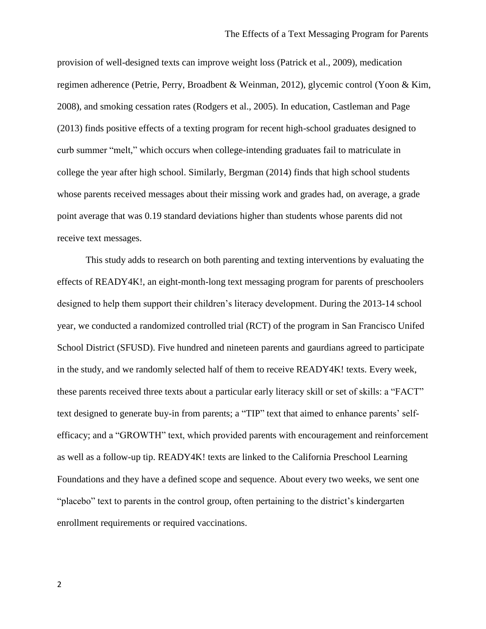provision of well-designed texts can improve weight loss (Patrick et al., 2009), medication regimen adherence (Petrie, Perry, Broadbent & Weinman, 2012), glycemic control (Yoon & Kim, 2008), and smoking cessation rates (Rodgers et al., 2005). In education, Castleman and Page (2013) finds positive effects of a texting program for recent high-school graduates designed to curb summer "melt," which occurs when college-intending graduates fail to matriculate in college the year after high school. Similarly, Bergman (2014) finds that high school students whose parents received messages about their missing work and grades had, on average, a grade point average that was 0.19 standard deviations higher than students whose parents did not receive text messages.

This study adds to research on both parenting and texting interventions by evaluating the effects of READY4K!, an eight-month-long text messaging program for parents of preschoolers designed to help them support their children's literacy development. During the 2013-14 school year, we conducted a randomized controlled trial (RCT) of the program in San Francisco Unifed School District (SFUSD). Five hundred and nineteen parents and gaurdians agreed to participate in the study, and we randomly selected half of them to receive READY4K! texts. Every week, these parents received three texts about a particular early literacy skill or set of skills: a "FACT" text designed to generate buy-in from parents; a "TIP" text that aimed to enhance parents' selfefficacy; and a "GROWTH" text, which provided parents with encouragement and reinforcement as well as a follow-up tip. READY4K! texts are linked to the California Preschool Learning Foundations and they have a defined scope and sequence. About every two weeks, we sent one "placebo" text to parents in the control group, often pertaining to the district's kindergarten enrollment requirements or required vaccinations.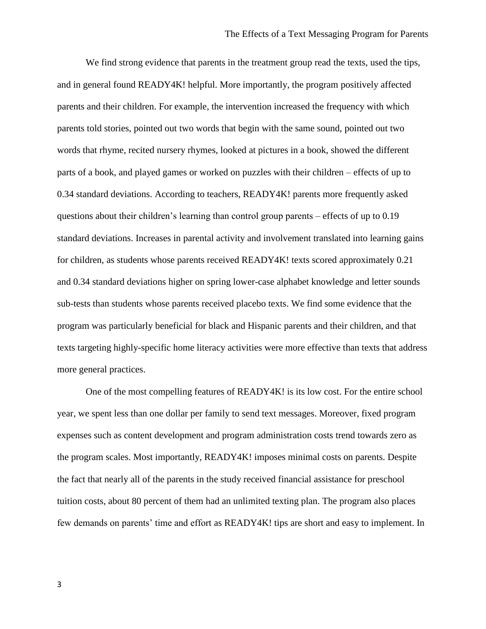We find strong evidence that parents in the treatment group read the texts, used the tips, and in general found READY4K! helpful. More importantly, the program positively affected parents and their children. For example, the intervention increased the frequency with which parents told stories, pointed out two words that begin with the same sound, pointed out two words that rhyme, recited nursery rhymes, looked at pictures in a book, showed the different parts of a book, and played games or worked on puzzles with their children – effects of up to 0.34 standard deviations. According to teachers, READY4K! parents more frequently asked questions about their children's learning than control group parents – effects of up to 0.19 standard deviations. Increases in parental activity and involvement translated into learning gains for children, as students whose parents received READY4K! texts scored approximately 0.21 and 0.34 standard deviations higher on spring lower-case alphabet knowledge and letter sounds sub-tests than students whose parents received placebo texts. We find some evidence that the program was particularly beneficial for black and Hispanic parents and their children, and that texts targeting highly-specific home literacy activities were more effective than texts that address more general practices.

One of the most compelling features of READY4K! is its low cost. For the entire school year, we spent less than one dollar per family to send text messages. Moreover, fixed program expenses such as content development and program administration costs trend towards zero as the program scales. Most importantly, READY4K! imposes minimal costs on parents. Despite the fact that nearly all of the parents in the study received financial assistance for preschool tuition costs, about 80 percent of them had an unlimited texting plan. The program also places few demands on parents' time and effort as READY4K! tips are short and easy to implement. In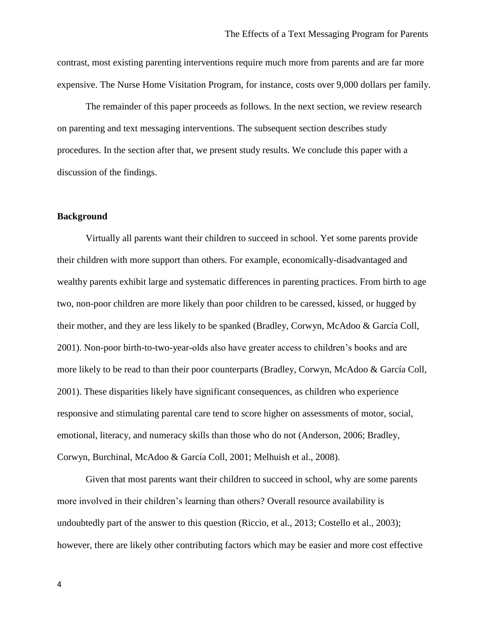contrast, most existing parenting interventions require much more from parents and are far more expensive. The Nurse Home Visitation Program, for instance, costs over 9,000 dollars per family.

The remainder of this paper proceeds as follows. In the next section, we review research on parenting and text messaging interventions. The subsequent section describes study procedures. In the section after that, we present study results. We conclude this paper with a discussion of the findings.

## **Background**

Virtually all parents want their children to succeed in school. Yet some parents provide their children with more support than others. For example, economically-disadvantaged and wealthy parents exhibit large and systematic differences in parenting practices. From birth to age two, non-poor children are more likely than poor children to be caressed, kissed, or hugged by their mother, and they are less likely to be spanked (Bradley, Corwyn, McAdoo & García Coll, 2001). Non-poor birth-to-two-year-olds also have greater access to children's books and are more likely to be read to than their poor counterparts (Bradley, Corwyn, McAdoo & García Coll, 2001). These disparities likely have significant consequences, as children who experience responsive and stimulating parental care tend to score higher on assessments of motor, social, emotional, literacy, and numeracy skills than those who do not (Anderson, 2006; Bradley, Corwyn, Burchinal, McAdoo & García Coll, 2001; Melhuish et al., 2008).

Given that most parents want their children to succeed in school, why are some parents more involved in their children's learning than others? Overall resource availability is undoubtedly part of the answer to this question (Riccio, et al., 2013; Costello et al., 2003); however, there are likely other contributing factors which may be easier and more cost effective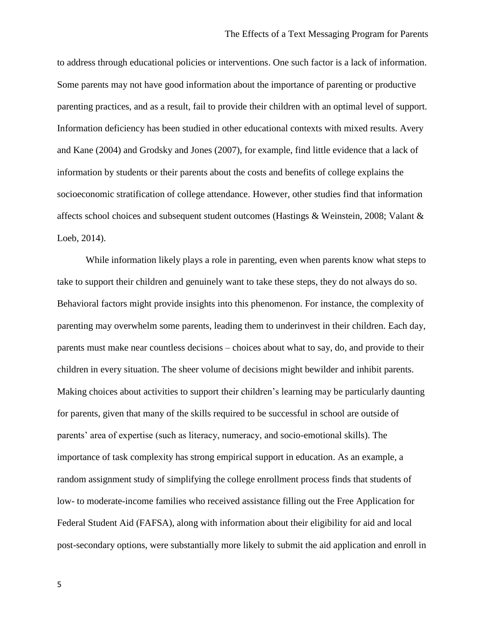to address through educational policies or interventions. One such factor is a lack of information. Some parents may not have good information about the importance of parenting or productive parenting practices, and as a result, fail to provide their children with an optimal level of support. Information deficiency has been studied in other educational contexts with mixed results. Avery and Kane (2004) and Grodsky and Jones (2007), for example, find little evidence that a lack of information by students or their parents about the costs and benefits of college explains the socioeconomic stratification of college attendance. However, other studies find that information affects school choices and subsequent student outcomes (Hastings & Weinstein, 2008; Valant & Loeb, 2014).

While information likely plays a role in parenting, even when parents know what steps to take to support their children and genuinely want to take these steps, they do not always do so. Behavioral factors might provide insights into this phenomenon. For instance, the complexity of parenting may overwhelm some parents, leading them to underinvest in their children. Each day, parents must make near countless decisions – choices about what to say, do, and provide to their children in every situation. The sheer volume of decisions might bewilder and inhibit parents. Making choices about activities to support their children's learning may be particularly daunting for parents, given that many of the skills required to be successful in school are outside of parents' area of expertise (such as literacy, numeracy, and socio-emotional skills). The importance of task complexity has strong empirical support in education. As an example, a random assignment study of simplifying the college enrollment process finds that students of low- to moderate-income families who received assistance filling out the Free Application for Federal Student Aid (FAFSA), along with information about their eligibility for aid and local post-secondary options, were substantially more likely to submit the aid application and enroll in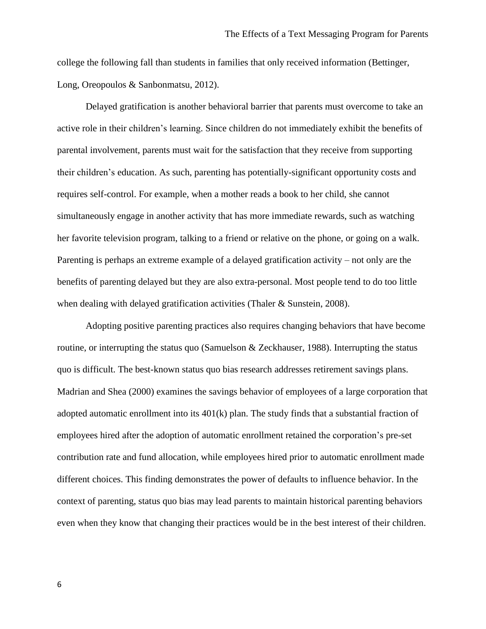college the following fall than students in families that only received information (Bettinger, Long, Oreopoulos & Sanbonmatsu, 2012).

Delayed gratification is another behavioral barrier that parents must overcome to take an active role in their children's learning. Since children do not immediately exhibit the benefits of parental involvement, parents must wait for the satisfaction that they receive from supporting their children's education. As such, parenting has potentially-significant opportunity costs and requires self-control. For example, when a mother reads a book to her child, she cannot simultaneously engage in another activity that has more immediate rewards, such as watching her favorite television program, talking to a friend or relative on the phone, or going on a walk. Parenting is perhaps an extreme example of a delayed gratification activity – not only are the benefits of parenting delayed but they are also extra-personal. Most people tend to do too little when dealing with delayed gratification activities (Thaler & Sunstein, 2008).

Adopting positive parenting practices also requires changing behaviors that have become routine, or interrupting the status quo (Samuelson & Zeckhauser, 1988). Interrupting the status quo is difficult. The best-known status quo bias research addresses retirement savings plans. Madrian and Shea (2000) examines the savings behavior of employees of a large corporation that adopted automatic enrollment into its 401(k) plan. The study finds that a substantial fraction of employees hired after the adoption of automatic enrollment retained the corporation's pre-set contribution rate and fund allocation, while employees hired prior to automatic enrollment made different choices. This finding demonstrates the power of defaults to influence behavior. In the context of parenting, status quo bias may lead parents to maintain historical parenting behaviors even when they know that changing their practices would be in the best interest of their children.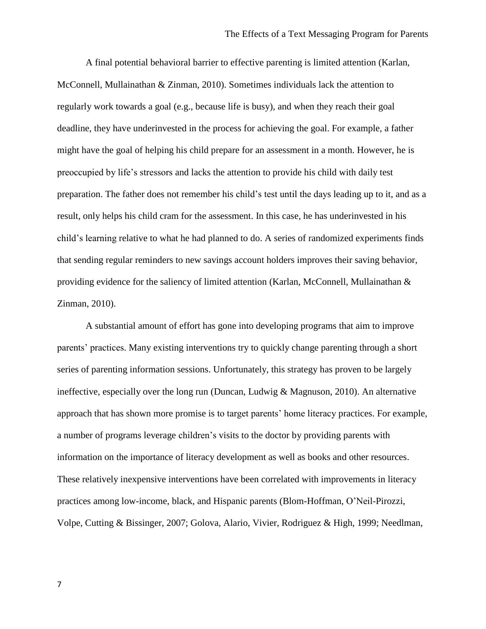A final potential behavioral barrier to effective parenting is limited attention (Karlan, McConnell, Mullainathan & Zinman, 2010). Sometimes individuals lack the attention to regularly work towards a goal (e.g., because life is busy), and when they reach their goal deadline, they have underinvested in the process for achieving the goal. For example, a father might have the goal of helping his child prepare for an assessment in a month. However, he is preoccupied by life's stressors and lacks the attention to provide his child with daily test preparation. The father does not remember his child's test until the days leading up to it, and as a result, only helps his child cram for the assessment. In this case, he has underinvested in his child's learning relative to what he had planned to do. A series of randomized experiments finds that sending regular reminders to new savings account holders improves their saving behavior, providing evidence for the saliency of limited attention (Karlan, McConnell, Mullainathan & Zinman, 2010).

A substantial amount of effort has gone into developing programs that aim to improve parents' practices. Many existing interventions try to quickly change parenting through a short series of parenting information sessions. Unfortunately, this strategy has proven to be largely ineffective, especially over the long run (Duncan, Ludwig & Magnuson, 2010). An alternative approach that has shown more promise is to target parents' home literacy practices. For example, a number of programs leverage children's visits to the doctor by providing parents with information on the importance of literacy development as well as books and other resources. These relatively inexpensive interventions have been correlated with improvements in literacy practices among low-income, black, and Hispanic parents (Blom-Hoffman, O'Neil-Pirozzi, Volpe, Cutting & Bissinger, 2007; Golova, Alario, Vivier, Rodriguez & High, 1999; Needlman,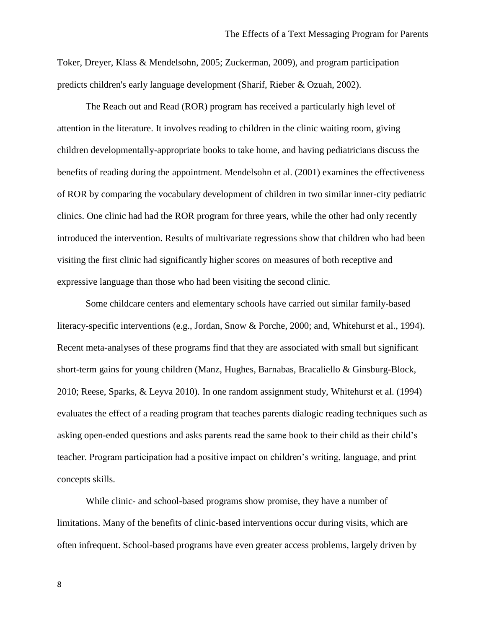Toker, Dreyer, Klass & Mendelsohn, 2005; Zuckerman, 2009), and program participation predicts children's early language development (Sharif, Rieber & Ozuah, 2002).

The Reach out and Read (ROR) program has received a particularly high level of attention in the literature. It involves reading to children in the clinic waiting room, giving children developmentally-appropriate books to take home, and having pediatricians discuss the benefits of reading during the appointment. Mendelsohn et al. (2001) examines the effectiveness of ROR by comparing the vocabulary development of children in two similar inner-city pediatric clinics. One clinic had had the ROR program for three years, while the other had only recently introduced the intervention. Results of multivariate regressions show that children who had been visiting the first clinic had significantly higher scores on measures of both receptive and expressive language than those who had been visiting the second clinic.

Some childcare centers and elementary schools have carried out similar family-based literacy-specific interventions (e.g., Jordan, Snow & Porche, 2000; and, Whitehurst et al., 1994). Recent meta-analyses of these programs find that they are associated with small but significant short-term gains for young children (Manz, Hughes, Barnabas, Bracaliello & Ginsburg-Block, 2010; Reese, Sparks, & Leyva 2010). In one random assignment study, Whitehurst et al. (1994) evaluates the effect of a reading program that teaches parents dialogic reading techniques such as asking open-ended questions and asks parents read the same book to their child as their child's teacher. Program participation had a positive impact on children's writing, language, and print concepts skills.

While clinic- and school-based programs show promise, they have a number of limitations. Many of the benefits of clinic-based interventions occur during visits, which are often infrequent. School-based programs have even greater access problems, largely driven by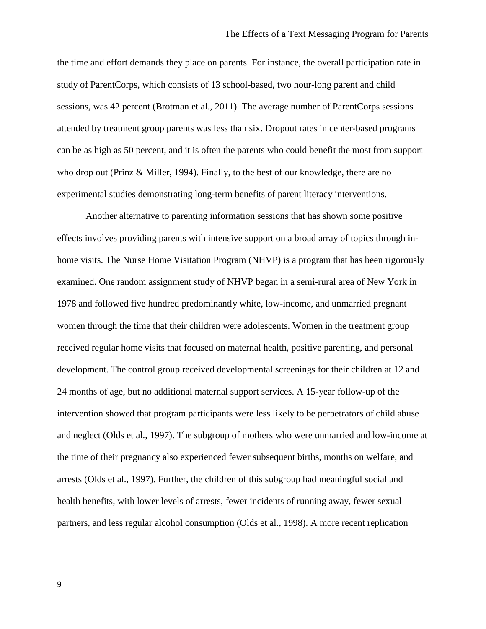the time and effort demands they place on parents. For instance, the overall participation rate in study of ParentCorps, which consists of 13 school-based, two hour-long parent and child sessions, was 42 percent (Brotman et al., 2011). The average number of ParentCorps sessions attended by treatment group parents was less than six. Dropout rates in center-based programs can be as high as 50 percent, and it is often the parents who could benefit the most from support who drop out (Prinz & Miller, 1994). Finally, to the best of our knowledge, there are no experimental studies demonstrating long-term benefits of parent literacy interventions.

Another alternative to parenting information sessions that has shown some positive effects involves providing parents with intensive support on a broad array of topics through inhome visits. The Nurse Home Visitation Program (NHVP) is a program that has been rigorously examined. One random assignment study of NHVP began in a semi-rural area of New York in 1978 and followed five hundred predominantly white, low-income, and unmarried pregnant women through the time that their children were adolescents. Women in the treatment group received regular home visits that focused on maternal health, positive parenting, and personal development. The control group received developmental screenings for their children at 12 and 24 months of age, but no additional maternal support services. A 15-year follow-up of the intervention showed that program participants were less likely to be perpetrators of child abuse and neglect (Olds et al., 1997). The subgroup of mothers who were unmarried and low-income at the time of their pregnancy also experienced fewer subsequent births, months on welfare, and arrests (Olds et al., 1997). Further, the children of this subgroup had meaningful social and health benefits, with lower levels of arrests, fewer incidents of running away, fewer sexual partners, and less regular alcohol consumption (Olds et al., 1998). A more recent replication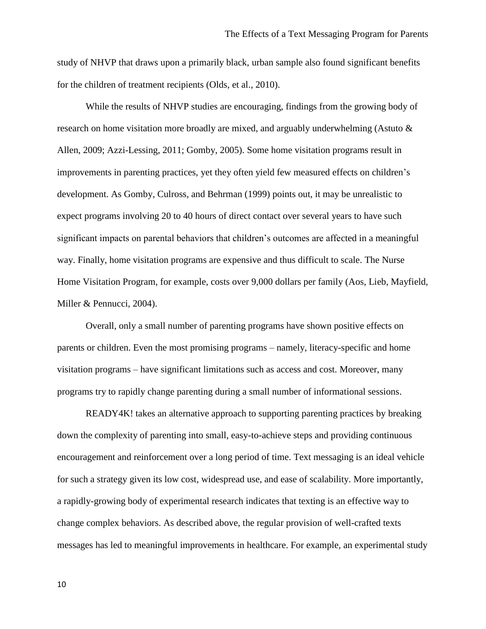study of NHVP that draws upon a primarily black, urban sample also found significant benefits for the children of treatment recipients (Olds, et al., 2010).

While the results of NHVP studies are encouraging, findings from the growing body of research on home visitation more broadly are mixed, and arguably underwhelming (Astuto & Allen, 2009; Azzi-Lessing, 2011; Gomby, 2005). Some home visitation programs result in improvements in parenting practices, yet they often yield few measured effects on children's development. As Gomby, Culross, and Behrman (1999) points out, it may be unrealistic to expect programs involving 20 to 40 hours of direct contact over several years to have such significant impacts on parental behaviors that children's outcomes are affected in a meaningful way. Finally, home visitation programs are expensive and thus difficult to scale. The Nurse Home Visitation Program, for example, costs over 9,000 dollars per family (Aos, Lieb, Mayfield, Miller & Pennucci, 2004).

Overall, only a small number of parenting programs have shown positive effects on parents or children. Even the most promising programs – namely, literacy-specific and home visitation programs – have significant limitations such as access and cost. Moreover, many programs try to rapidly change parenting during a small number of informational sessions.

READY4K! takes an alternative approach to supporting parenting practices by breaking down the complexity of parenting into small, easy-to-achieve steps and providing continuous encouragement and reinforcement over a long period of time. Text messaging is an ideal vehicle for such a strategy given its low cost, widespread use, and ease of scalability. More importantly, a rapidly-growing body of experimental research indicates that texting is an effective way to change complex behaviors. As described above, the regular provision of well-crafted texts messages has led to meaningful improvements in healthcare. For example, an experimental study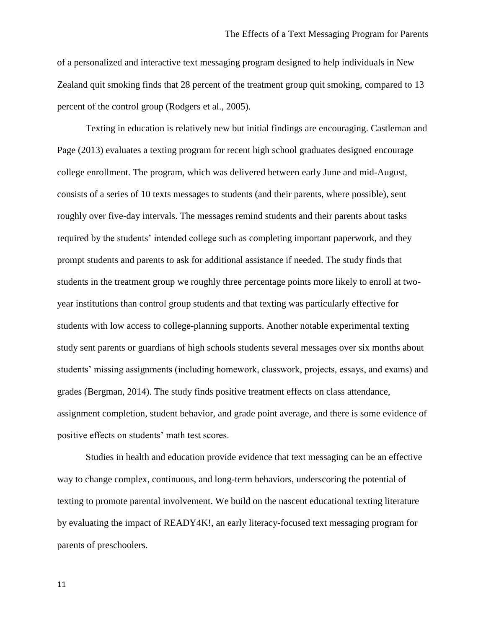of a personalized and interactive text messaging program designed to help individuals in New Zealand quit smoking finds that 28 percent of the treatment group quit smoking, compared to 13 percent of the control group (Rodgers et al., 2005).

Texting in education is relatively new but initial findings are encouraging. Castleman and Page (2013) evaluates a texting program for recent high school graduates designed encourage college enrollment. The program, which was delivered between early June and mid-August, consists of a series of 10 texts messages to students (and their parents, where possible), sent roughly over five-day intervals. The messages remind students and their parents about tasks required by the students' intended college such as completing important paperwork, and they prompt students and parents to ask for additional assistance if needed. The study finds that students in the treatment group we roughly three percentage points more likely to enroll at twoyear institutions than control group students and that texting was particularly effective for students with low access to college-planning supports. Another notable experimental texting study sent parents or guardians of high schools students several messages over six months about students' missing assignments (including homework, classwork, projects, essays, and exams) and grades (Bergman, 2014). The study finds positive treatment effects on class attendance, assignment completion, student behavior, and grade point average, and there is some evidence of positive effects on students' math test scores.

Studies in health and education provide evidence that text messaging can be an effective way to change complex, continuous, and long-term behaviors, underscoring the potential of texting to promote parental involvement. We build on the nascent educational texting literature by evaluating the impact of READY4K!, an early literacy-focused text messaging program for parents of preschoolers.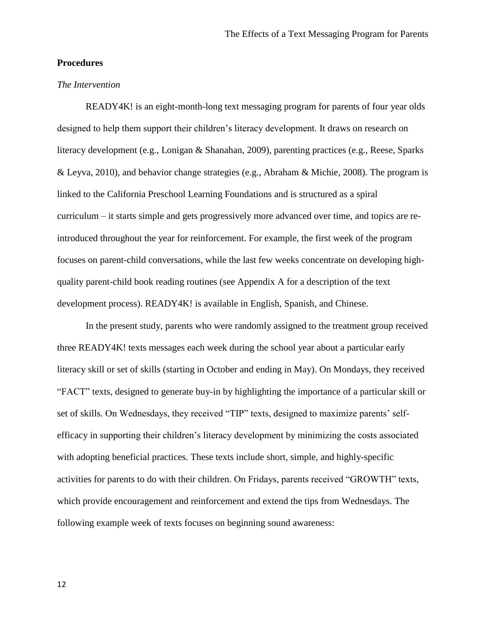# **Procedures**

## *The Intervention*

READY4K! is an eight-month-long text messaging program for parents of four year olds designed to help them support their children's literacy development. It draws on research on literacy development (e.g., Lonigan & Shanahan, 2009), parenting practices (e.g., Reese, Sparks & Leyva, 2010), and behavior change strategies (e.g., Abraham & Michie, 2008). The program is linked to the California Preschool Learning Foundations and is structured as a spiral curriculum – it starts simple and gets progressively more advanced over time, and topics are reintroduced throughout the year for reinforcement. For example, the first week of the program focuses on parent-child conversations, while the last few weeks concentrate on developing highquality parent-child book reading routines (see Appendix A for a description of the text development process). READY4K! is available in English, Spanish, and Chinese.

In the present study, parents who were randomly assigned to the treatment group received three READY4K! texts messages each week during the school year about a particular early literacy skill or set of skills (starting in October and ending in May). On Mondays, they received "FACT" texts, designed to generate buy-in by highlighting the importance of a particular skill or set of skills. On Wednesdays, they received "TIP" texts, designed to maximize parents' selfefficacy in supporting their children's literacy development by minimizing the costs associated with adopting beneficial practices. These texts include short, simple, and highly-specific activities for parents to do with their children. On Fridays, parents received "GROWTH" texts, which provide encouragement and reinforcement and extend the tips from Wednesdays. The following example week of texts focuses on beginning sound awareness: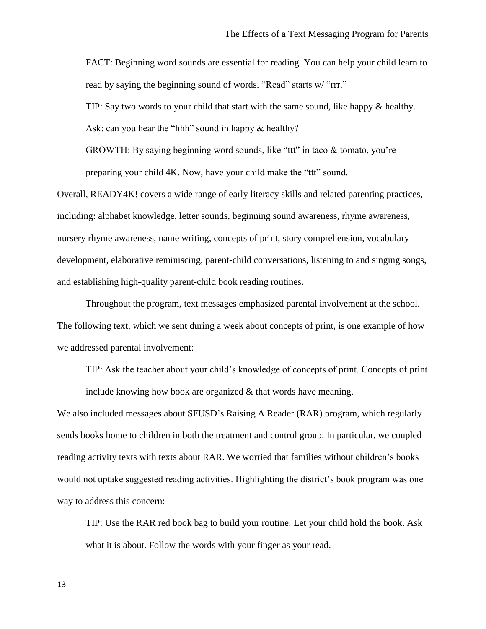FACT: Beginning word sounds are essential for reading. You can help your child learn to read by saying the beginning sound of words. "Read" starts w/ "rrr."

TIP: Say two words to your child that start with the same sound, like happy & healthy.

Ask: can you hear the "hhh" sound in happy  $&$  healthy?

GROWTH: By saying beginning word sounds, like "ttt" in taco & tomato, you're preparing your child 4K. Now, have your child make the "ttt" sound.

Overall, READY4K! covers a wide range of early literacy skills and related parenting practices, including: alphabet knowledge, letter sounds, beginning sound awareness, rhyme awareness, nursery rhyme awareness, name writing, concepts of print, story comprehension, vocabulary development, elaborative reminiscing, parent-child conversations, listening to and singing songs, and establishing high-quality parent-child book reading routines.

Throughout the program, text messages emphasized parental involvement at the school. The following text, which we sent during a week about concepts of print, is one example of how we addressed parental involvement:

TIP: Ask the teacher about your child's knowledge of concepts of print. Concepts of print include knowing how book are organized & that words have meaning.

We also included messages about SFUSD's Raising A Reader (RAR) program, which regularly sends books home to children in both the treatment and control group. In particular, we coupled reading activity texts with texts about RAR. We worried that families without children's books would not uptake suggested reading activities. Highlighting the district's book program was one way to address this concern:

TIP: Use the RAR red book bag to build your routine. Let your child hold the book. Ask what it is about. Follow the words with your finger as your read.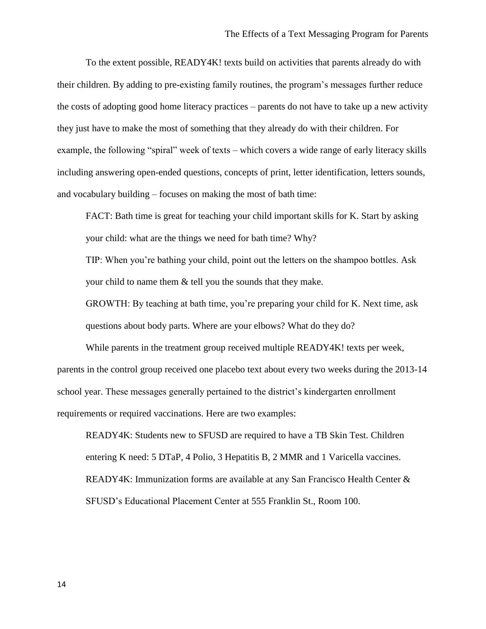To the extent possible, READY4K! texts build on activities that parents already do with their children. By adding to pre-existing family routines, the program's messages further reduce the costs of adopting good home literacy practices – parents do not have to take up a new activity they just have to make the most of something that they already do with their children. For example, the following "spiral" week of texts – which covers a wide range of early literacy skills including answering open-ended questions, concepts of print, letter identification, letters sounds, and vocabulary building – focuses on making the most of bath time:

FACT: Bath time is great for teaching your child important skills for K. Start by asking your child: what are the things we need for bath time? Why?

TIP: When you're bathing your child, point out the letters on the shampoo bottles. Ask your child to name them & tell you the sounds that they make.

GROWTH: By teaching at bath time, you're preparing your child for K. Next time, ask questions about body parts. Where are your elbows? What do they do?

While parents in the treatment group received multiple READY4K! texts per week, parents in the control group received one placebo text about every two weeks during the 2013-14 school year. These messages generally pertained to the district's kindergarten enrollment requirements or required vaccinations. Here are two examples:

READY4K: Students new to SFUSD are required to have a TB Skin Test. Children entering K need: 5 DTaP, 4 Polio, 3 Hepatitis B, 2 MMR and 1 Varicella vaccines. READY4K: Immunization forms are available at any San Francisco Health Center & SFUSD's Educational Placement Center at 555 Franklin St., Room 100.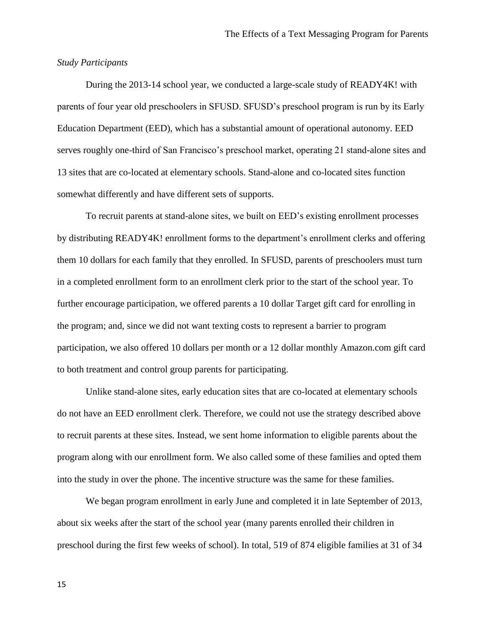#### *Study Participants*

During the 2013-14 school year, we conducted a large-scale study of READY4K! with parents of four year old preschoolers in SFUSD. SFUSD's preschool program is run by its Early Education Department (EED), which has a substantial amount of operational autonomy. EED serves roughly one-third of San Francisco's preschool market, operating 21 stand-alone sites and 13 sites that are co-located at elementary schools. Stand-alone and co-located sites function somewhat differently and have different sets of supports.

To recruit parents at stand-alone sites, we built on EED's existing enrollment processes by distributing READY4K! enrollment forms to the department's enrollment clerks and offering them 10 dollars for each family that they enrolled. In SFUSD, parents of preschoolers must turn in a completed enrollment form to an enrollment clerk prior to the start of the school year. To further encourage participation, we offered parents a 10 dollar Target gift card for enrolling in the program; and, since we did not want texting costs to represent a barrier to program participation, we also offered 10 dollars per month or a 12 dollar monthly Amazon.com gift card to both treatment and control group parents for participating.

Unlike stand-alone sites, early education sites that are co-located at elementary schools do not have an EED enrollment clerk. Therefore, we could not use the strategy described above to recruit parents at these sites. Instead, we sent home information to eligible parents about the program along with our enrollment form. We also called some of these families and opted them into the study in over the phone. The incentive structure was the same for these families.

We began program enrollment in early June and completed it in late September of 2013, about six weeks after the start of the school year (many parents enrolled their children in preschool during the first few weeks of school). In total, 519 of 874 eligible families at 31 of 34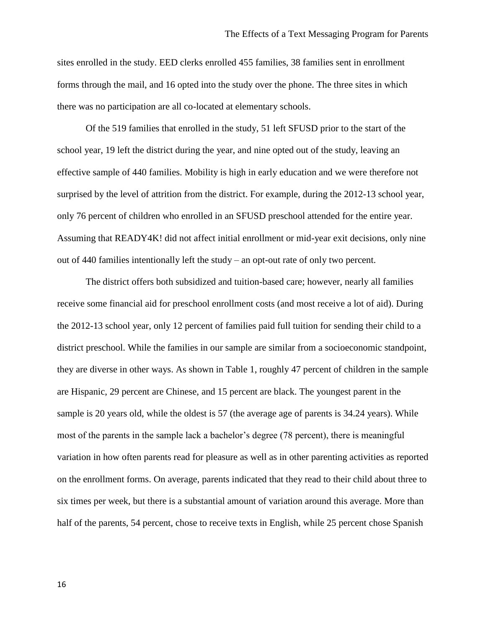sites enrolled in the study. EED clerks enrolled 455 families, 38 families sent in enrollment forms through the mail, and 16 opted into the study over the phone. The three sites in which there was no participation are all co-located at elementary schools.

Of the 519 families that enrolled in the study, 51 left SFUSD prior to the start of the school year, 19 left the district during the year, and nine opted out of the study, leaving an effective sample of 440 families. Mobility is high in early education and we were therefore not surprised by the level of attrition from the district. For example, during the 2012-13 school year, only 76 percent of children who enrolled in an SFUSD preschool attended for the entire year. Assuming that READY4K! did not affect initial enrollment or mid-year exit decisions, only nine out of 440 families intentionally left the study – an opt-out rate of only two percent.

The district offers both subsidized and tuition-based care; however, nearly all families receive some financial aid for preschool enrollment costs (and most receive a lot of aid). During the 2012-13 school year, only 12 percent of families paid full tuition for sending their child to a district preschool. While the families in our sample are similar from a socioeconomic standpoint, they are diverse in other ways. As shown in Table 1, roughly 47 percent of children in the sample are Hispanic, 29 percent are Chinese, and 15 percent are black. The youngest parent in the sample is 20 years old, while the oldest is 57 (the average age of parents is 34.24 years). While most of the parents in the sample lack a bachelor's degree (78 percent), there is meaningful variation in how often parents read for pleasure as well as in other parenting activities as reported on the enrollment forms. On average, parents indicated that they read to their child about three to six times per week, but there is a substantial amount of variation around this average. More than half of the parents, 54 percent, chose to receive texts in English, while 25 percent chose Spanish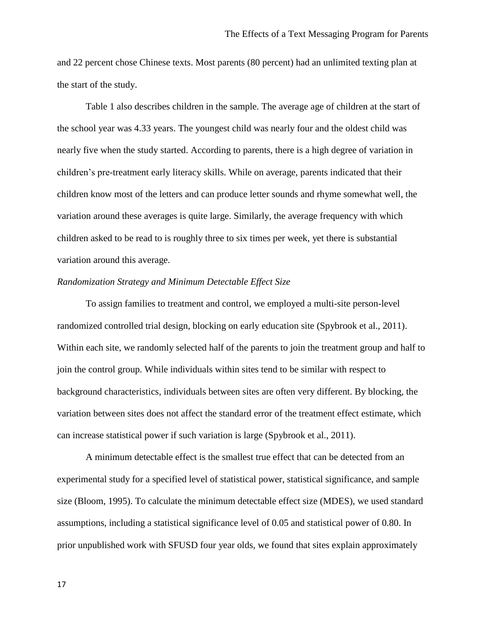and 22 percent chose Chinese texts. Most parents (80 percent) had an unlimited texting plan at the start of the study.

Table 1 also describes children in the sample. The average age of children at the start of the school year was 4.33 years. The youngest child was nearly four and the oldest child was nearly five when the study started. According to parents, there is a high degree of variation in children's pre-treatment early literacy skills. While on average, parents indicated that their children know most of the letters and can produce letter sounds and rhyme somewhat well, the variation around these averages is quite large. Similarly, the average frequency with which children asked to be read to is roughly three to six times per week, yet there is substantial variation around this average.

# *Randomization Strategy and Minimum Detectable Effect Size*

To assign families to treatment and control, we employed a multi-site person-level randomized controlled trial design, blocking on early education site (Spybrook et al., 2011). Within each site, we randomly selected half of the parents to join the treatment group and half to join the control group. While individuals within sites tend to be similar with respect to background characteristics, individuals between sites are often very different. By blocking, the variation between sites does not affect the standard error of the treatment effect estimate, which can increase statistical power if such variation is large (Spybrook et al., 2011).

A minimum detectable effect is the smallest true effect that can be detected from an experimental study for a specified level of statistical power, statistical significance, and sample size (Bloom, 1995). To calculate the minimum detectable effect size (MDES), we used standard assumptions, including a statistical significance level of 0.05 and statistical power of 0.80. In prior unpublished work with SFUSD four year olds, we found that sites explain approximately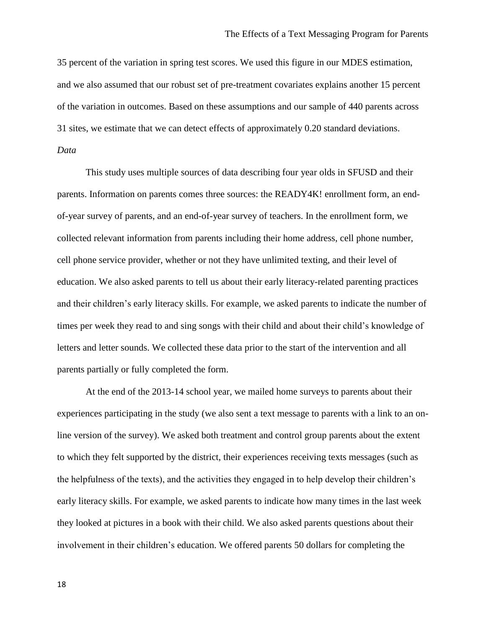35 percent of the variation in spring test scores. We used this figure in our MDES estimation, and we also assumed that our robust set of pre-treatment covariates explains another 15 percent of the variation in outcomes. Based on these assumptions and our sample of 440 parents across 31 sites, we estimate that we can detect effects of approximately 0.20 standard deviations. *Data* 

This study uses multiple sources of data describing four year olds in SFUSD and their parents. Information on parents comes three sources: the READY4K! enrollment form, an endof-year survey of parents, and an end-of-year survey of teachers. In the enrollment form, we collected relevant information from parents including their home address, cell phone number, cell phone service provider, whether or not they have unlimited texting, and their level of education. We also asked parents to tell us about their early literacy-related parenting practices and their children's early literacy skills. For example, we asked parents to indicate the number of times per week they read to and sing songs with their child and about their child's knowledge of letters and letter sounds. We collected these data prior to the start of the intervention and all parents partially or fully completed the form.

At the end of the 2013-14 school year, we mailed home surveys to parents about their experiences participating in the study (we also sent a text message to parents with a link to an online version of the survey). We asked both treatment and control group parents about the extent to which they felt supported by the district, their experiences receiving texts messages (such as the helpfulness of the texts), and the activities they engaged in to help develop their children's early literacy skills. For example, we asked parents to indicate how many times in the last week they looked at pictures in a book with their child. We also asked parents questions about their involvement in their children's education. We offered parents 50 dollars for completing the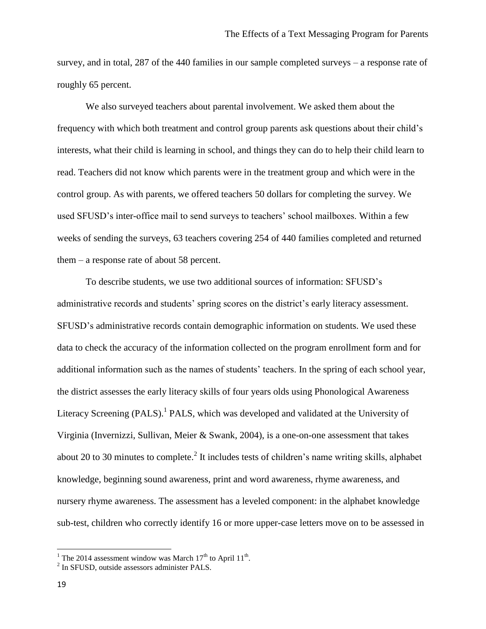survey, and in total, 287 of the 440 families in our sample completed surveys – a response rate of roughly 65 percent.

We also surveyed teachers about parental involvement. We asked them about the frequency with which both treatment and control group parents ask questions about their child's interests, what their child is learning in school, and things they can do to help their child learn to read. Teachers did not know which parents were in the treatment group and which were in the control group. As with parents, we offered teachers 50 dollars for completing the survey. We used SFUSD's inter-office mail to send surveys to teachers' school mailboxes. Within a few weeks of sending the surveys, 63 teachers covering 254 of 440 families completed and returned them – a response rate of about 58 percent.

To describe students, we use two additional sources of information: SFUSD's administrative records and students' spring scores on the district's early literacy assessment. SFUSD's administrative records contain demographic information on students. We used these data to check the accuracy of the information collected on the program enrollment form and for additional information such as the names of students' teachers. In the spring of each school year, the district assesses the early literacy skills of four years olds using Phonological Awareness Literacy Screening (PALS).<sup>1</sup> PALS, which was developed and validated at the University of Virginia (Invernizzi, Sullivan, Meier & Swank, 2004), is a one-on-one assessment that takes about 20 to 30 minutes to complete.<sup>2</sup> It includes tests of children's name writing skills, alphabet knowledge, beginning sound awareness, print and word awareness, rhyme awareness, and nursery rhyme awareness. The assessment has a leveled component: in the alphabet knowledge sub-test, children who correctly identify 16 or more upper-case letters move on to be assessed in

 $\overline{\phantom{a}}$ 

<sup>&</sup>lt;sup>1</sup> The 2014 assessment window was March  $17<sup>th</sup>$  to April  $11<sup>th</sup>$ .

<sup>&</sup>lt;sup>2</sup> In SFUSD, outside assessors administer PALS.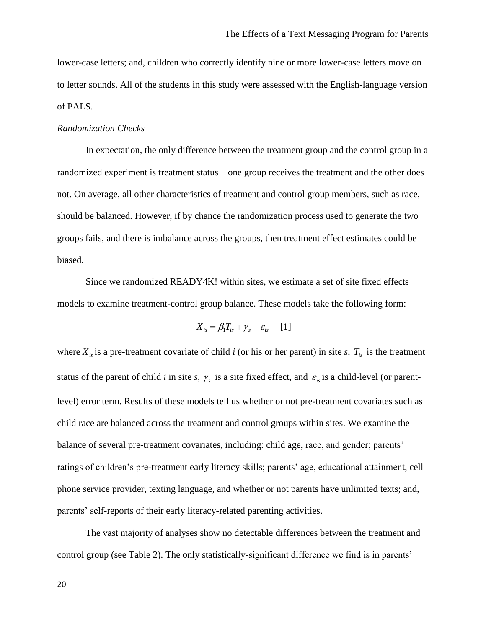lower-case letters; and, children who correctly identify nine or more lower-case letters move on to letter sounds. All of the students in this study were assessed with the English-language version of PALS.

#### *Randomization Checks*

In expectation, the only difference between the treatment group and the control group in a randomized experiment is treatment status – one group receives the treatment and the other does not. On average, all other characteristics of treatment and control group members, such as race, should be balanced. However, if by chance the randomization process used to generate the two groups fails, and there is imbalance across the groups, then treatment effect estimates could be biased.

Since we randomized READY4K! within sites, we estimate a set of site fixed effects models to examine treatment-control group balance. These models take the following form:

$$
X_{is} = \beta_1 T_{is} + \gamma_s + \varepsilon_{is} \qquad [1]
$$

where  $X_{i}$  is a pre-treatment covariate of child *i* (or his or her parent) in site *s*,  $T_{i}$  is the treatment status of the parent of child *i* in site *s*,  $\gamma_s$  is a site fixed effect, and  $\varepsilon_{is}$  is a child-level (or parentlevel) error term. Results of these models tell us whether or not pre-treatment covariates such as child race are balanced across the treatment and control groups within sites. We examine the balance of several pre-treatment covariates, including: child age, race, and gender; parents' ratings of children's pre-treatment early literacy skills; parents' age, educational attainment, cell phone service provider, texting language, and whether or not parents have unlimited texts; and, parents' self-reports of their early literacy-related parenting activities.

The vast majority of analyses show no detectable differences between the treatment and control group (see Table 2). The only statistically-significant difference we find is in parents'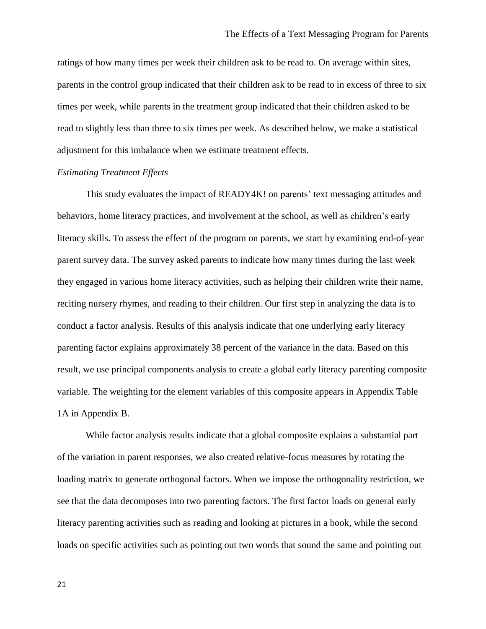ratings of how many times per week their children ask to be read to. On average within sites, parents in the control group indicated that their children ask to be read to in excess of three to six times per week, while parents in the treatment group indicated that their children asked to be read to slightly less than three to six times per week. As described below, we make a statistical adjustment for this imbalance when we estimate treatment effects.

## *Estimating Treatment Effects*

This study evaluates the impact of READY4K! on parents' text messaging attitudes and behaviors, home literacy practices, and involvement at the school, as well as children's early literacy skills. To assess the effect of the program on parents, we start by examining end-of-year parent survey data. The survey asked parents to indicate how many times during the last week they engaged in various home literacy activities, such as helping their children write their name, reciting nursery rhymes, and reading to their children. Our first step in analyzing the data is to conduct a factor analysis. Results of this analysis indicate that one underlying early literacy parenting factor explains approximately 38 percent of the variance in the data. Based on this result, we use principal components analysis to create a global early literacy parenting composite variable. The weighting for the element variables of this composite appears in Appendix Table 1A in Appendix B.

While factor analysis results indicate that a global composite explains a substantial part of the variation in parent responses, we also created relative-focus measures by rotating the loading matrix to generate orthogonal factors. When we impose the orthogonality restriction, we see that the data decomposes into two parenting factors. The first factor loads on general early literacy parenting activities such as reading and looking at pictures in a book, while the second loads on specific activities such as pointing out two words that sound the same and pointing out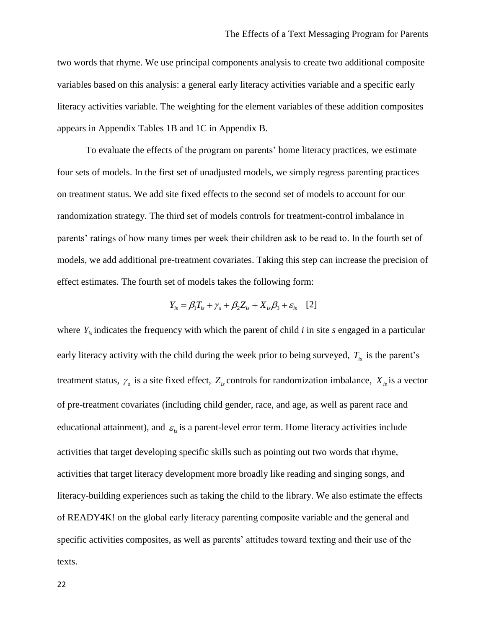two words that rhyme. We use principal components analysis to create two additional composite variables based on this analysis: a general early literacy activities variable and a specific early literacy activities variable. The weighting for the element variables of these addition composites appears in Appendix Tables 1B and 1C in Appendix B.

To evaluate the effects of the program on parents' home literacy practices, we estimate four sets of models. In the first set of unadjusted models, we simply regress parenting practices on treatment status. We add site fixed effects to the second set of models to account for our randomization strategy. The third set of models controls for treatment-control imbalance in parents' ratings of how many times per week their children ask to be read to. In the fourth set of models, we add additional pre-treatment covariates. Taking this step can increase the precision of effect estimates. The fourth set of models takes the following form:

$$
Y_{is} = \beta_1 T_{is} + \gamma_s + \beta_2 Z_{is} + X_{is} \beta_3 + \varepsilon_{is} \quad [2]
$$

where  $Y_{i}$  indicates the frequency with which the parent of child *i* in site *s* engaged in a particular early literacy activity with the child during the week prior to being surveyed, *Tis* is the parent's treatment status,  $\gamma_s$  is a site fixed effect,  $Z_{is}$  controls for randomization imbalance,  $X_{is}$  is a vector of pre-treatment covariates (including child gender, race, and age, as well as parent race and educational attainment), and  $\varepsilon_{is}$  is a parent-level error term. Home literacy activities include activities that target developing specific skills such as pointing out two words that rhyme, activities that target literacy development more broadly like reading and singing songs, and literacy-building experiences such as taking the child to the library. We also estimate the effects of READY4K! on the global early literacy parenting composite variable and the general and specific activities composites, as well as parents' attitudes toward texting and their use of the texts.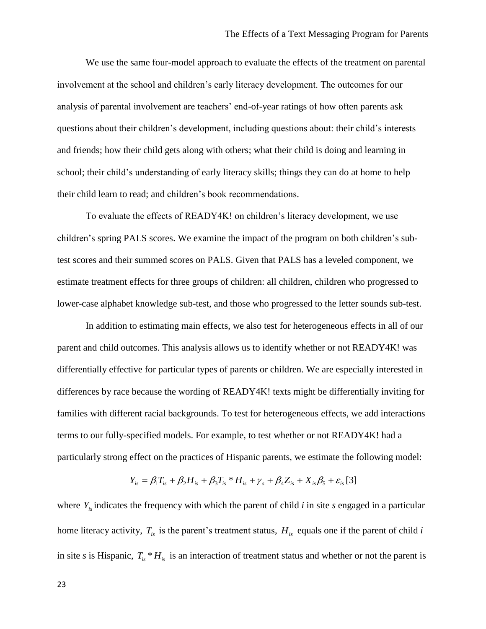We use the same four-model approach to evaluate the effects of the treatment on parental involvement at the school and children's early literacy development. The outcomes for our analysis of parental involvement are teachers' end-of-year ratings of how often parents ask questions about their children's development, including questions about: their child's interests and friends; how their child gets along with others; what their child is doing and learning in school; their child's understanding of early literacy skills; things they can do at home to help their child learn to read; and children's book recommendations.

To evaluate the effects of READY4K! on children's literacy development, we use children's spring PALS scores. We examine the impact of the program on both children's subtest scores and their summed scores on PALS. Given that PALS has a leveled component, we estimate treatment effects for three groups of children: all children, children who progressed to lower-case alphabet knowledge sub-test, and those who progressed to the letter sounds sub-test.

In addition to estimating main effects, we also test for heterogeneous effects in all of our parent and child outcomes. This analysis allows us to identify whether or not READY4K! was differentially effective for particular types of parents or children. We are especially interested in differences by race because the wording of READY4K! texts might be differentially inviting for families with different racial backgrounds. To test for heterogeneous effects, we add interactions terms to our fully-specified models. For example, to test whether or not READY4K! had a particularly strong effect on the practices of Hispanic parents, we estimate the following model:

$$
Y_{is} = \beta_1 T_{is} + \beta_2 H_{is} + \beta_3 T_{is} * H_{is} + \gamma_s + \beta_4 Z_{is} + X_{is} \beta_5 + \varepsilon_{is} [3]
$$

where  $Y_{i}$  indicates the frequency with which the parent of child *i* in site *s* engaged in a particular home literacy activity,  $T_{is}$  is the parent's treatment status,  $H_{is}$  equals one if the parent of child *i* in site *s* is Hispanic,  $T_{is} * H_{is}$  is an interaction of treatment status and whether or not the parent is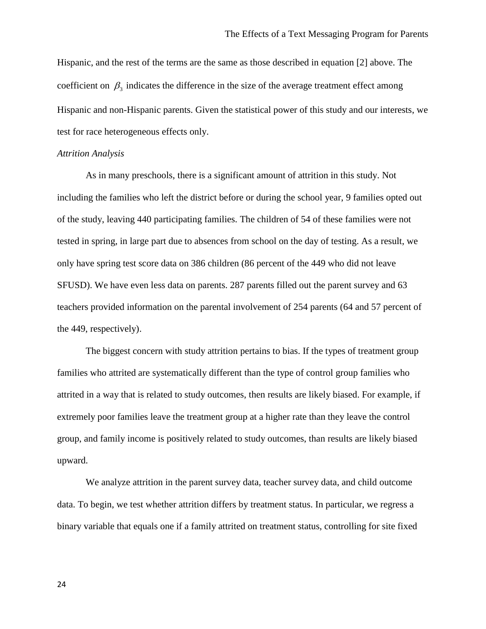Hispanic, and the rest of the terms are the same as those described in equation [2] above. The coefficient on  $\beta_3$  indicates the difference in the size of the average treatment effect among Hispanic and non-Hispanic parents. Given the statistical power of this study and our interests, we test for race heterogeneous effects only.

#### *Attrition Analysis*

As in many preschools, there is a significant amount of attrition in this study. Not including the families who left the district before or during the school year, 9 families opted out of the study, leaving 440 participating families. The children of 54 of these families were not tested in spring, in large part due to absences from school on the day of testing. As a result, we only have spring test score data on 386 children (86 percent of the 449 who did not leave SFUSD). We have even less data on parents. 287 parents filled out the parent survey and 63 teachers provided information on the parental involvement of 254 parents (64 and 57 percent of the 449, respectively).

The biggest concern with study attrition pertains to bias. If the types of treatment group families who attrited are systematically different than the type of control group families who attrited in a way that is related to study outcomes, then results are likely biased. For example, if extremely poor families leave the treatment group at a higher rate than they leave the control group, and family income is positively related to study outcomes, than results are likely biased upward.

We analyze attrition in the parent survey data, teacher survey data, and child outcome data. To begin, we test whether attrition differs by treatment status. In particular, we regress a binary variable that equals one if a family attrited on treatment status, controlling for site fixed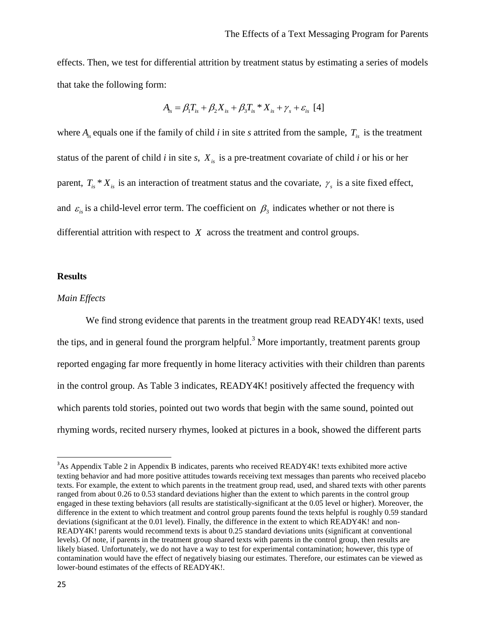effects. Then, we test for differential attrition by treatment status by estimating a series of models that take the following form:

$$
A_{is} = \beta_1 T_{is} + \beta_2 X_{is} + \beta_3 T_{is} * X_{is} + \gamma_s + \varepsilon_{is} [4]
$$

where  $A_i$  equals one if the family of child *i* in site *s* attrited from the sample,  $T_i$  is the treatment status of the parent of child *i* in site *s*, *Xis* is a pre-treatment covariate of child *i* or his or her parent,  $T_{is} * X_{is}$  is an interaction of treatment status and the covariate,  $\gamma_s$  is a site fixed effect, and  $\varepsilon_{i}$  is a child-level error term. The coefficient on  $\beta_3$  indicates whether or not there is differential attrition with respect to *X* across the treatment and control groups.

#### **Results**

# *Main Effects*

We find strong evidence that parents in the treatment group read READY4K! texts, used the tips, and in general found the prorgram helpful.<sup>3</sup> More importantly, treatment parents group reported engaging far more frequently in home literacy activities with their children than parents in the control group. As Table 3 indicates, READY4K! positively affected the frequency with which parents told stories, pointed out two words that begin with the same sound, pointed out rhyming words, recited nursery rhymes, looked at pictures in a book, showed the different parts

l

<sup>&</sup>lt;sup>3</sup>As Appendix Table 2 in Appendix B indicates, parents who received READY4K! texts exhibited more active texting behavior and had more positive attitudes towards receiving text messages than parents who received placebo texts. For example, the extent to which parents in the treatment group read, used, and shared texts with other parents ranged from about 0.26 to 0.53 standard deviations higher than the extent to which parents in the control group engaged in these texting behaviors (all results are statistically-significant at the 0.05 level or higher). Moreover, the difference in the extent to which treatment and control group parents found the texts helpful is roughly 0.59 standard deviations (significant at the 0.01 level). Finally, the difference in the extent to which READY4K! and non-READY4K! parents would recommend texts is about 0.25 standard deviations units (significant at conventional levels). Of note, if parents in the treatment group shared texts with parents in the control group, then results are likely biased. Unfortunately, we do not have a way to test for experimental contamination; however, this type of contamination would have the effect of negatively biasing our estimates. Therefore, our estimates can be viewed as lower-bound estimates of the effects of READY4K!.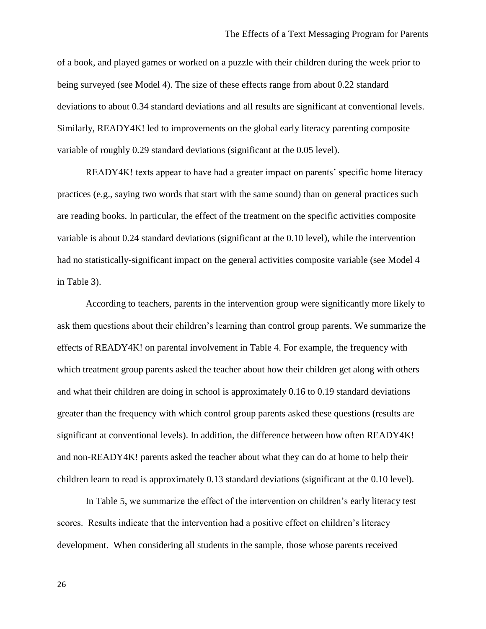of a book, and played games or worked on a puzzle with their children during the week prior to being surveyed (see Model 4). The size of these effects range from about 0.22 standard deviations to about 0.34 standard deviations and all results are significant at conventional levels. Similarly, READY4K! led to improvements on the global early literacy parenting composite variable of roughly 0.29 standard deviations (significant at the 0.05 level).

READY4K! texts appear to have had a greater impact on parents' specific home literacy practices (e.g., saying two words that start with the same sound) than on general practices such are reading books. In particular, the effect of the treatment on the specific activities composite variable is about 0.24 standard deviations (significant at the 0.10 level), while the intervention had no statistically-significant impact on the general activities composite variable (see Model 4 in Table 3).

According to teachers, parents in the intervention group were significantly more likely to ask them questions about their children's learning than control group parents. We summarize the effects of READY4K! on parental involvement in Table 4. For example, the frequency with which treatment group parents asked the teacher about how their children get along with others and what their children are doing in school is approximately 0.16 to 0.19 standard deviations greater than the frequency with which control group parents asked these questions (results are significant at conventional levels). In addition, the difference between how often READY4K! and non-READY4K! parents asked the teacher about what they can do at home to help their children learn to read is approximately 0.13 standard deviations (significant at the 0.10 level).

In Table 5, we summarize the effect of the intervention on children's early literacy test scores. Results indicate that the intervention had a positive effect on children's literacy development. When considering all students in the sample, those whose parents received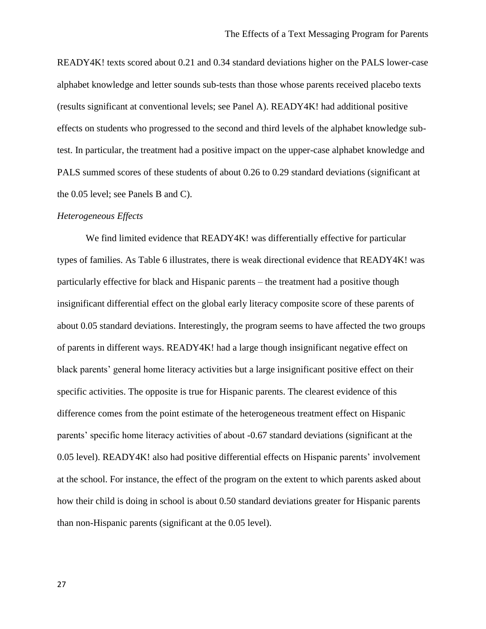READY4K! texts scored about 0.21 and 0.34 standard deviations higher on the PALS lower-case alphabet knowledge and letter sounds sub-tests than those whose parents received placebo texts (results significant at conventional levels; see Panel A). READY4K! had additional positive effects on students who progressed to the second and third levels of the alphabet knowledge subtest. In particular, the treatment had a positive impact on the upper-case alphabet knowledge and PALS summed scores of these students of about 0.26 to 0.29 standard deviations (significant at the 0.05 level; see Panels B and C).

#### *Heterogeneous Effects*

We find limited evidence that READY4K! was differentially effective for particular types of families. As Table 6 illustrates, there is weak directional evidence that READY4K! was particularly effective for black and Hispanic parents – the treatment had a positive though insignificant differential effect on the global early literacy composite score of these parents of about 0.05 standard deviations. Interestingly, the program seems to have affected the two groups of parents in different ways. READY4K! had a large though insignificant negative effect on black parents' general home literacy activities but a large insignificant positive effect on their specific activities. The opposite is true for Hispanic parents. The clearest evidence of this difference comes from the point estimate of the heterogeneous treatment effect on Hispanic parents' specific home literacy activities of about -0.67 standard deviations (significant at the 0.05 level). READY4K! also had positive differential effects on Hispanic parents' involvement at the school. For instance, the effect of the program on the extent to which parents asked about how their child is doing in school is about 0.50 standard deviations greater for Hispanic parents than non-Hispanic parents (significant at the 0.05 level).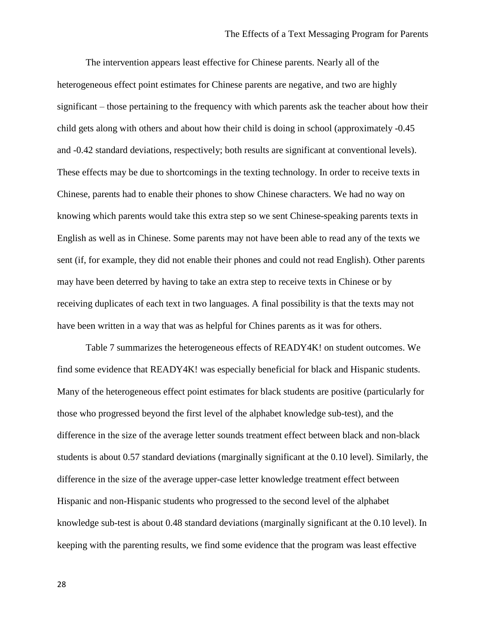The intervention appears least effective for Chinese parents. Nearly all of the heterogeneous effect point estimates for Chinese parents are negative, and two are highly significant – those pertaining to the frequency with which parents ask the teacher about how their child gets along with others and about how their child is doing in school (approximately -0.45 and -0.42 standard deviations, respectively; both results are significant at conventional levels). These effects may be due to shortcomings in the texting technology. In order to receive texts in Chinese, parents had to enable their phones to show Chinese characters. We had no way on knowing which parents would take this extra step so we sent Chinese-speaking parents texts in English as well as in Chinese. Some parents may not have been able to read any of the texts we sent (if, for example, they did not enable their phones and could not read English). Other parents may have been deterred by having to take an extra step to receive texts in Chinese or by receiving duplicates of each text in two languages. A final possibility is that the texts may not have been written in a way that was as helpful for Chines parents as it was for others.

Table 7 summarizes the heterogeneous effects of READY4K! on student outcomes. We find some evidence that READY4K! was especially beneficial for black and Hispanic students. Many of the heterogeneous effect point estimates for black students are positive (particularly for those who progressed beyond the first level of the alphabet knowledge sub-test), and the difference in the size of the average letter sounds treatment effect between black and non-black students is about 0.57 standard deviations (marginally significant at the 0.10 level). Similarly, the difference in the size of the average upper-case letter knowledge treatment effect between Hispanic and non-Hispanic students who progressed to the second level of the alphabet knowledge sub-test is about 0.48 standard deviations (marginally significant at the 0.10 level). In keeping with the parenting results, we find some evidence that the program was least effective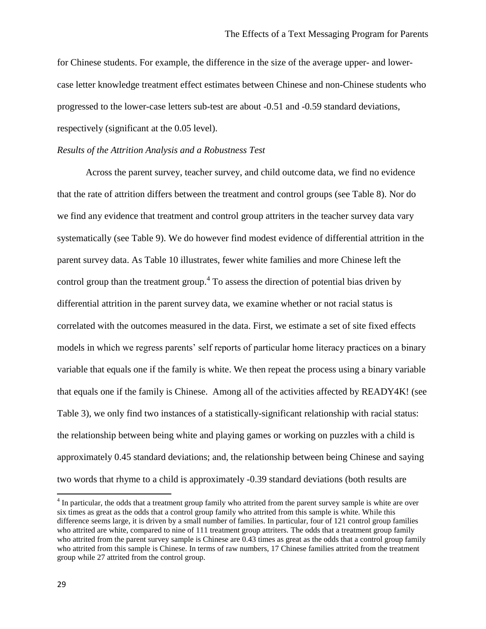for Chinese students. For example, the difference in the size of the average upper- and lowercase letter knowledge treatment effect estimates between Chinese and non-Chinese students who progressed to the lower-case letters sub-test are about -0.51 and -0.59 standard deviations, respectively (significant at the 0.05 level).

#### *Results of the Attrition Analysis and a Robustness Test*

Across the parent survey, teacher survey, and child outcome data, we find no evidence that the rate of attrition differs between the treatment and control groups (see Table 8). Nor do we find any evidence that treatment and control group attriters in the teacher survey data vary systematically (see Table 9). We do however find modest evidence of differential attrition in the parent survey data. As Table 10 illustrates, fewer white families and more Chinese left the control group than the treatment group.<sup>4</sup> To assess the direction of potential bias driven by differential attrition in the parent survey data, we examine whether or not racial status is correlated with the outcomes measured in the data. First, we estimate a set of site fixed effects models in which we regress parents' self reports of particular home literacy practices on a binary variable that equals one if the family is white. We then repeat the process using a binary variable that equals one if the family is Chinese. Among all of the activities affected by READY4K! (see Table 3), we only find two instances of a statistically-significant relationship with racial status: the relationship between being white and playing games or working on puzzles with a child is approximately 0.45 standard deviations; and, the relationship between being Chinese and saying two words that rhyme to a child is approximately -0.39 standard deviations (both results are

l

<sup>&</sup>lt;sup>4</sup> In particular, the odds that a treatment group family who attrited from the parent survey sample is white are over six times as great as the odds that a control group family who attrited from this sample is white. While this difference seems large, it is driven by a small number of families. In particular, four of 121 control group families who attrited are white, compared to nine of 111 treatment group attriters. The odds that a treatment group family who attrited from the parent survey sample is Chinese are 0.43 times as great as the odds that a control group family who attrited from this sample is Chinese. In terms of raw numbers, 17 Chinese families attrited from the treatment group while 27 attrited from the control group.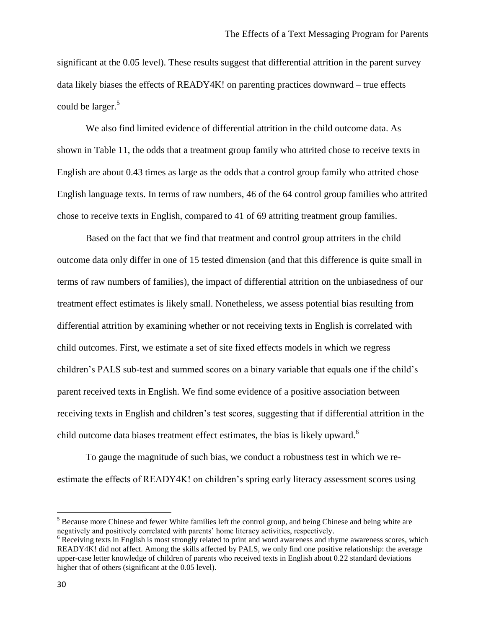significant at the 0.05 level). These results suggest that differential attrition in the parent survey data likely biases the effects of READY4K! on parenting practices downward – true effects could be larger.<sup>5</sup>

We also find limited evidence of differential attrition in the child outcome data. As shown in Table 11, the odds that a treatment group family who attrited chose to receive texts in English are about 0.43 times as large as the odds that a control group family who attrited chose English language texts. In terms of raw numbers, 46 of the 64 control group families who attrited chose to receive texts in English, compared to 41 of 69 attriting treatment group families.

Based on the fact that we find that treatment and control group attriters in the child outcome data only differ in one of 15 tested dimension (and that this difference is quite small in terms of raw numbers of families), the impact of differential attrition on the unbiasedness of our treatment effect estimates is likely small. Nonetheless, we assess potential bias resulting from differential attrition by examining whether or not receiving texts in English is correlated with child outcomes. First, we estimate a set of site fixed effects models in which we regress children's PALS sub-test and summed scores on a binary variable that equals one if the child's parent received texts in English. We find some evidence of a positive association between receiving texts in English and children's test scores, suggesting that if differential attrition in the child outcome data biases treatment effect estimates, the bias is likely upward.<sup>6</sup>

To gauge the magnitude of such bias, we conduct a robustness test in which we reestimate the effects of READY4K! on children's spring early literacy assessment scores using

l

<sup>&</sup>lt;sup>5</sup> Because more Chinese and fewer White families left the control group, and being Chinese and being white are negatively and positively correlated with parents' home literacy activities, respectively.

<sup>&</sup>lt;sup>6</sup> Receiving texts in English is most strongly related to print and word awareness and rhyme awareness scores, which READY4K! did not affect. Among the skills affected by PALS, we only find one positive relationship: the average upper-case letter knowledge of children of parents who received texts in English about 0.22 standard deviations higher that of others (significant at the 0.05 level).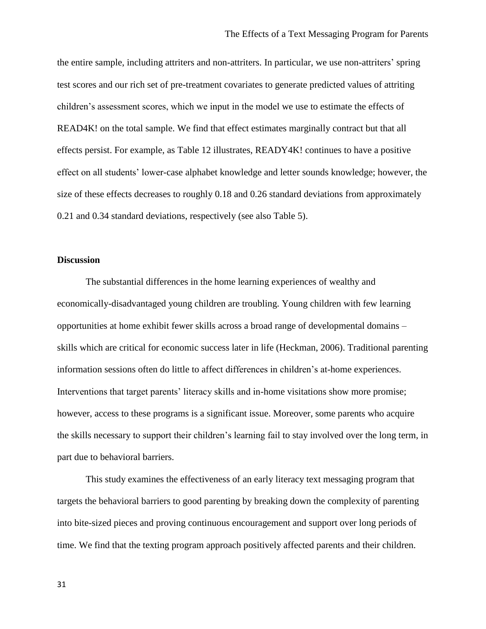the entire sample, including attriters and non-attriters. In particular, we use non-attriters' spring test scores and our rich set of pre-treatment covariates to generate predicted values of attriting children's assessment scores, which we input in the model we use to estimate the effects of READ4K! on the total sample. We find that effect estimates marginally contract but that all effects persist. For example, as Table 12 illustrates, READY4K! continues to have a positive effect on all students' lower-case alphabet knowledge and letter sounds knowledge; however, the size of these effects decreases to roughly 0.18 and 0.26 standard deviations from approximately 0.21 and 0.34 standard deviations, respectively (see also Table 5).

#### **Discussion**

The substantial differences in the home learning experiences of wealthy and economically-disadvantaged young children are troubling. Young children with few learning opportunities at home exhibit fewer skills across a broad range of developmental domains – skills which are critical for economic success later in life (Heckman, 2006). Traditional parenting information sessions often do little to affect differences in children's at-home experiences. Interventions that target parents' literacy skills and in-home visitations show more promise; however, access to these programs is a significant issue. Moreover, some parents who acquire the skills necessary to support their children's learning fail to stay involved over the long term, in part due to behavioral barriers.

This study examines the effectiveness of an early literacy text messaging program that targets the behavioral barriers to good parenting by breaking down the complexity of parenting into bite-sized pieces and proving continuous encouragement and support over long periods of time. We find that the texting program approach positively affected parents and their children.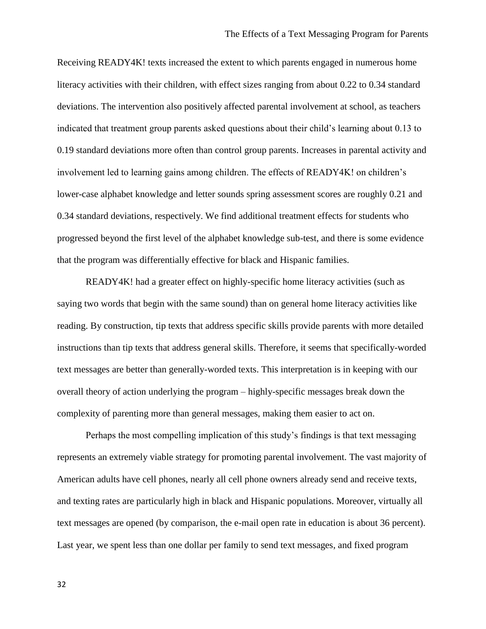Receiving READY4K! texts increased the extent to which parents engaged in numerous home literacy activities with their children, with effect sizes ranging from about 0.22 to 0.34 standard deviations. The intervention also positively affected parental involvement at school, as teachers indicated that treatment group parents asked questions about their child's learning about 0.13 to 0.19 standard deviations more often than control group parents. Increases in parental activity and involvement led to learning gains among children. The effects of READY4K! on children's lower-case alphabet knowledge and letter sounds spring assessment scores are roughly 0.21 and 0.34 standard deviations, respectively. We find additional treatment effects for students who progressed beyond the first level of the alphabet knowledge sub-test, and there is some evidence that the program was differentially effective for black and Hispanic families.

READY4K! had a greater effect on highly-specific home literacy activities (such as saying two words that begin with the same sound) than on general home literacy activities like reading. By construction, tip texts that address specific skills provide parents with more detailed instructions than tip texts that address general skills. Therefore, it seems that specifically-worded text messages are better than generally-worded texts. This interpretation is in keeping with our overall theory of action underlying the program – highly-specific messages break down the complexity of parenting more than general messages, making them easier to act on.

Perhaps the most compelling implication of this study's findings is that text messaging represents an extremely viable strategy for promoting parental involvement. The vast majority of American adults have cell phones, nearly all cell phone owners already send and receive texts, and texting rates are particularly high in black and Hispanic populations. Moreover, virtually all text messages are opened (by comparison, the e-mail open rate in education is about 36 percent). Last year, we spent less than one dollar per family to send text messages, and fixed program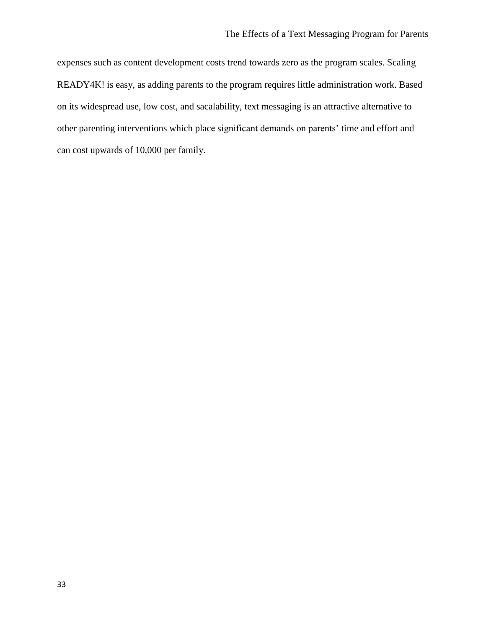expenses such as content development costs trend towards zero as the program scales. Scaling READY4K! is easy, as adding parents to the program requires little administration work. Based on its widespread use, low cost, and sacalability, text messaging is an attractive alternative to other parenting interventions which place significant demands on parents' time and effort and can cost upwards of 10,000 per family.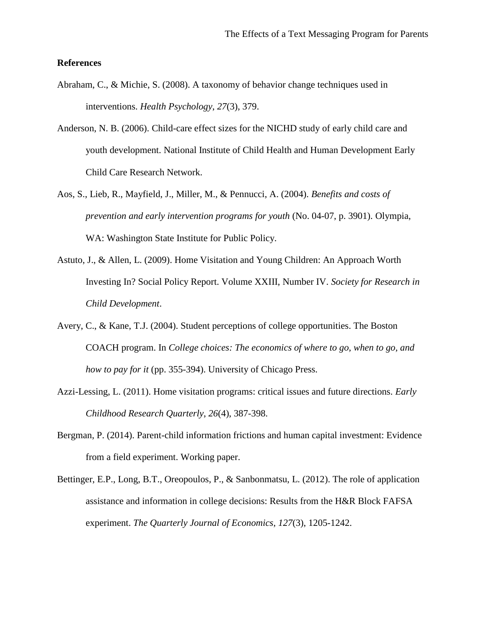# **References**

- Abraham, C., & Michie, S. (2008). A taxonomy of behavior change techniques used in interventions. *Health Psychology*, *27*(3), 379.
- Anderson, N. B. (2006). Child-care effect sizes for the NICHD study of early child care and youth development. National Institute of Child Health and Human Development Early Child Care Research Network.
- Aos, S., Lieb, R., Mayfield, J., Miller, M., & Pennucci, A. (2004). *Benefits and costs of prevention and early intervention programs for youth* (No. 04-07, p. 3901). Olympia, WA: Washington State Institute for Public Policy.
- Astuto, J., & Allen, L. (2009). Home Visitation and Young Children: An Approach Worth Investing In? Social Policy Report. Volume XXIII, Number IV. *Society for Research in Child Development*.
- Avery, C., & Kane, T.J. (2004). Student perceptions of college opportunities. The Boston COACH program. In *College choices: The economics of where to go, when to go, and how to pay for it* (pp. 355-394). University of Chicago Press.
- Azzi-Lessing, L. (2011). Home visitation programs: critical issues and future directions. *Early Childhood Research Quarterly*, *26*(4), 387-398.
- Bergman, P. (2014). Parent-child information frictions and human capital investment: Evidence from a field experiment. Working paper.
- Bettinger, E.P., Long, B.T., Oreopoulos, P., & Sanbonmatsu, L. (2012). The role of application assistance and information in college decisions: Results from the H&R Block FAFSA experiment. *The Quarterly Journal of Economics*, *127*(3), 1205-1242.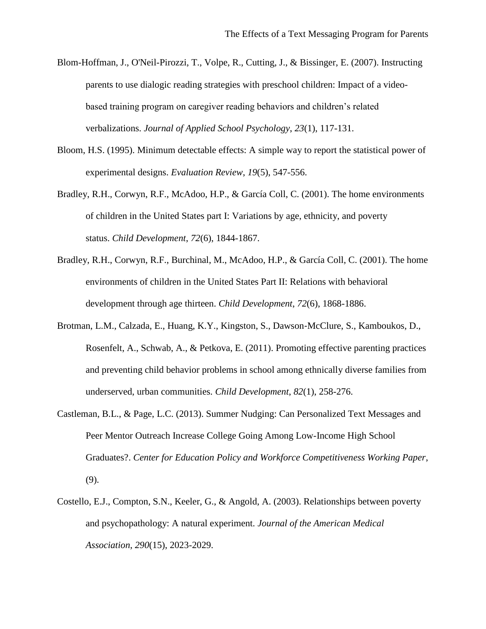- Blom-Hoffman, J., O'Neil-Pirozzi, T., Volpe, R., Cutting, J., & Bissinger, E. (2007). Instructing parents to use dialogic reading strategies with preschool children: Impact of a videobased training program on caregiver reading behaviors and children's related verbalizations. *Journal of Applied School Psychology*, *23*(1), 117-131.
- Bloom, H.S. (1995). Minimum detectable effects: A simple way to report the statistical power of experimental designs. *Evaluation Review*, *19*(5), 547-556.
- Bradley, R.H., Corwyn, R.F., McAdoo, H.P., & García Coll, C. (2001). The home environments of children in the United States part I: Variations by age, ethnicity, and poverty status. *Child Development*, *72*(6), 1844-1867.
- Bradley, R.H., Corwyn, R.F., Burchinal, M., McAdoo, H.P., & García Coll, C. (2001). The home environments of children in the United States Part II: Relations with behavioral development through age thirteen. *Child Development*, *72*(6), 1868-1886.
- Brotman, L.M., Calzada, E., Huang, K.Y., Kingston, S., Dawson‐McClure, S., Kamboukos, D., Rosenfelt, A., Schwab, A., & Petkova, E. (2011). Promoting effective parenting practices and preventing child behavior problems in school among ethnically diverse families from underserved, urban communities. *Child Development*, *82*(1), 258-276.
- Castleman, B.L., & Page, L.C. (2013). Summer Nudging: Can Personalized Text Messages and Peer Mentor Outreach Increase College Going Among Low-Income High School Graduates?. *Center for Education Policy and Workforce Competitiveness Working Paper*, (9).
- Costello, E.J., Compton, S.N., Keeler, G., & Angold, A. (2003). Relationships between poverty and psychopathology: A natural experiment. *Journal of the American Medical Association*, *290*(15), 2023-2029.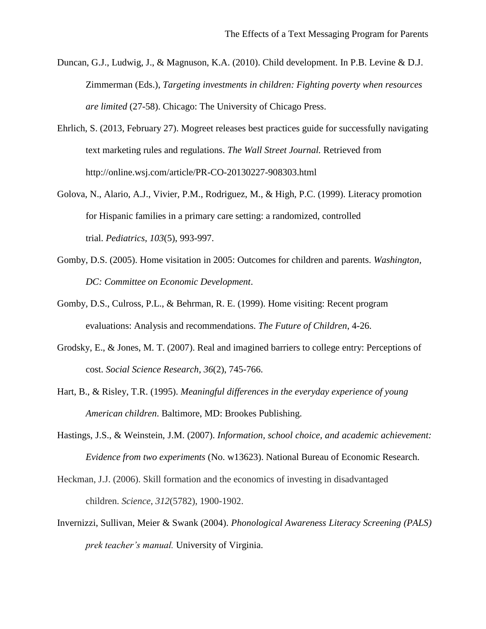- Duncan, G.J., Ludwig, J., & Magnuson, K.A. (2010). Child development. In P.B. Levine & D.J. Zimmerman (Eds.), *Targeting investments in children: Fighting poverty when resources are limited* (27-58). Chicago: The University of Chicago Press.
- Ehrlich, S. (2013, February 27). Mogreet releases best practices guide for successfully navigating text marketing rules and regulations. *The Wall Street Journal.* Retrieved from http://online.wsj.com/article/PR-CO-20130227-908303.html
- Golova, N., Alario, A.J., Vivier, P.M., Rodriguez, M., & High, P.C. (1999). Literacy promotion for Hispanic families in a primary care setting: a randomized, controlled trial. *Pediatrics*, *103*(5), 993-997.
- Gomby, D.S. (2005). Home visitation in 2005: Outcomes for children and parents. *Washington, DC: Committee on Economic Development*.
- Gomby, D.S., Culross, P.L., & Behrman, R. E. (1999). Home visiting: Recent program evaluations: Analysis and recommendations. *The Future of Children*, 4-26.
- Grodsky, E., & Jones, M. T. (2007). Real and imagined barriers to college entry: Perceptions of cost. *Social Science Research*, *36*(2), 745-766.
- Hart, B., & Risley, T.R. (1995). *Meaningful differences in the everyday experience of young American children*. Baltimore, MD: Brookes Publishing.
- Hastings, J.S., & Weinstein, J.M. (2007). *Information, school choice, and academic achievement: Evidence from two experiments* (No. w13623). National Bureau of Economic Research.
- Heckman, J.J. (2006). Skill formation and the economics of investing in disadvantaged children. *Science*, *312*(5782), 1900-1902.
- Invernizzi, Sullivan, Meier & Swank (2004). *Phonological Awareness Literacy Screening (PALS) prek teacher's manual.* University of Virginia.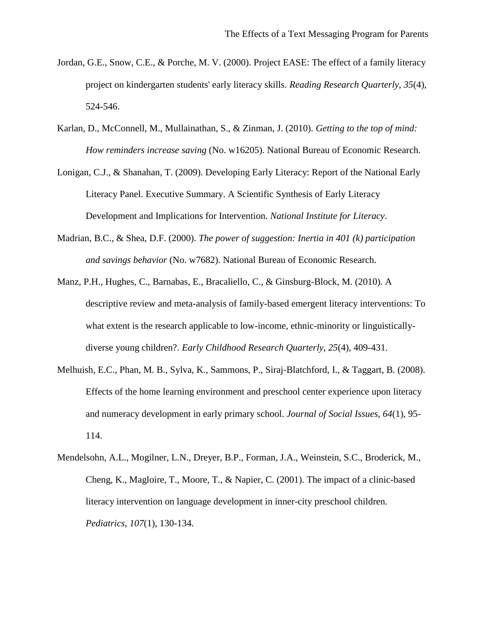- Jordan, G.E., Snow, C.E., & Porche, M. V. (2000). Project EASE: The effect of a family literacy project on kindergarten students' early literacy skills. *Reading Research Quarterly*, *35*(4), 524-546.
- Karlan, D., McConnell, M., Mullainathan, S., & Zinman, J. (2010). *Getting to the top of mind: How reminders increase saving* (No. w16205). National Bureau of Economic Research.
- Lonigan, C.J., & Shanahan, T. (2009). Developing Early Literacy: Report of the National Early Literacy Panel. Executive Summary. A Scientific Synthesis of Early Literacy Development and Implications for Intervention. *National Institute for Literacy*.
- Madrian, B.C., & Shea, D.F. (2000). *The power of suggestion: Inertia in 401 (k) participation and savings behavior* (No. w7682). National Bureau of Economic Research.
- Manz, P.H., Hughes, C., Barnabas, E., Bracaliello, C., & Ginsburg-Block, M. (2010). A descriptive review and meta-analysis of family-based emergent literacy interventions: To what extent is the research applicable to low-income, ethnic-minority or linguisticallydiverse young children?. *Early Childhood Research Quarterly*, *25*(4), 409-431.
- Melhuish, E.C., Phan, M. B., Sylva, K., Sammons, P., Siraj‐Blatchford, I., & Taggart, B. (2008). Effects of the home learning environment and preschool center experience upon literacy and numeracy development in early primary school. *Journal of Social Issues*, *64*(1), 95- 114.
- Mendelsohn, A.L., Mogilner, L.N., Dreyer, B.P., Forman, J.A., Weinstein, S.C., Broderick, M., Cheng, K., Magloire, T., Moore, T., & Napier, C. (2001). The impact of a clinic-based literacy intervention on language development in inner-city preschool children. *Pediatrics*, *107*(1), 130-134.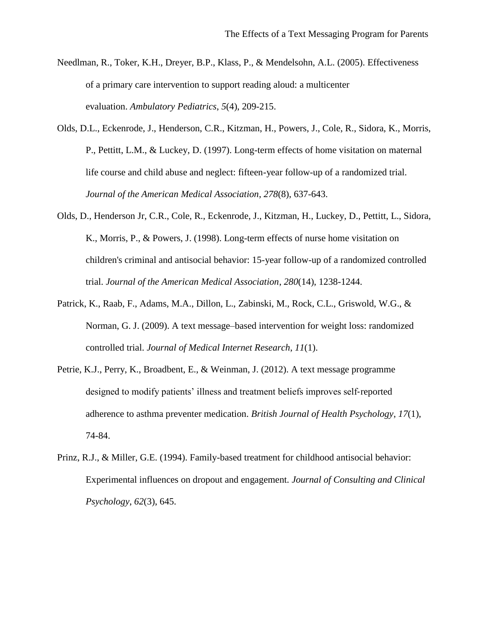- Needlman, R., Toker, K.H., Dreyer, B.P., Klass, P., & Mendelsohn, A.L. (2005). Effectiveness of a primary care intervention to support reading aloud: a multicenter evaluation. *Ambulatory Pediatrics*, *5*(4), 209-215.
- Olds, D.L., Eckenrode, J., Henderson, C.R., Kitzman, H., Powers, J., Cole, R., Sidora, K., Morris, P., Pettitt, L.M., & Luckey, D. (1997). Long-term effects of home visitation on maternal life course and child abuse and neglect: fifteen-year follow-up of a randomized trial. *Journal of the American Medical Association*, *278*(8), 637-643.
- Olds, D., Henderson Jr, C.R., Cole, R., Eckenrode, J., Kitzman, H., Luckey, D., Pettitt, L., Sidora, K., Morris, P., & Powers, J. (1998). Long-term effects of nurse home visitation on children's criminal and antisocial behavior: 15-year follow-up of a randomized controlled trial. *Journal of the American Medical Association*, *280*(14), 1238-1244.
- Patrick, K., Raab, F., Adams, M.A., Dillon, L., Zabinski, M., Rock, C.L., Griswold, W.G., & Norman, G. J. (2009). A text message–based intervention for weight loss: randomized controlled trial. *Journal of Medical Internet Research*, *11*(1).
- Petrie, K.J., Perry, K., Broadbent, E., & Weinman, J. (2012). A text message programme designed to modify patients' illness and treatment beliefs improves self‐reported adherence to asthma preventer medication. *British Journal of Health Psychology*, *17*(1), 74-84.
- Prinz, R.J., & Miller, G.E. (1994). Family-based treatment for childhood antisocial behavior: Experimental influences on dropout and engagement. *Journal of Consulting and Clinical Psychology*, *62*(3), 645.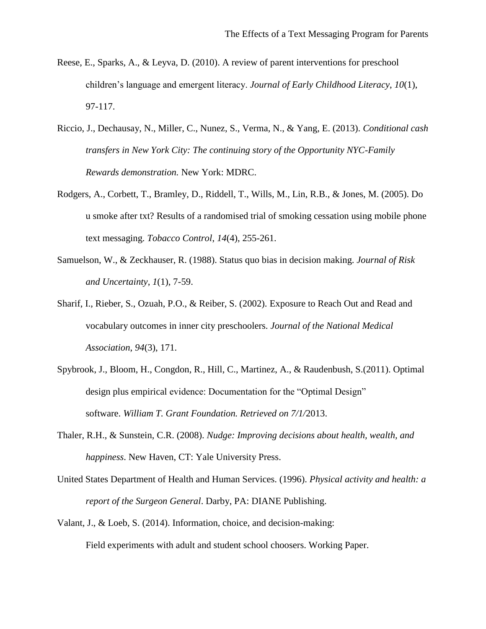- Reese, E., Sparks, A., & Leyva, D. (2010). A review of parent interventions for preschool children's language and emergent literacy. *Journal of Early Childhood Literacy*, *10*(1), 97-117.
- Riccio, J., Dechausay, N., Miller, C., Nunez, S., Verma, N., & Yang, E. (2013). *Conditional cash transfers in New York City: The continuing story of the Opportunity NYC-Family Rewards demonstration.* New York: MDRC.
- Rodgers, A., Corbett, T., Bramley, D., Riddell, T., Wills, M., Lin, R.B., & Jones, M. (2005). Do u smoke after txt? Results of a randomised trial of smoking cessation using mobile phone text messaging. *Tobacco Control*, *14*(4), 255-261.
- Samuelson, W., & Zeckhauser, R. (1988). Status quo bias in decision making. *Journal of Risk and Uncertainty*, *1*(1), 7-59.
- Sharif, I., Rieber, S., Ozuah, P.O., & Reiber, S. (2002). Exposure to Reach Out and Read and vocabulary outcomes in inner city preschoolers. *Journal of the National Medical Association*, *94*(3), 171.
- Spybrook, J., Bloom, H., Congdon, R., Hill, C., Martinez, A., & Raudenbush, S.(2011). Optimal design plus empirical evidence: Documentation for the "Optimal Design" software. *William T. Grant Foundation. Retrieved on 7/1/*2013.
- Thaler, R.H., & Sunstein, C.R. (2008). *Nudge: Improving decisions about health, wealth, and happiness*. New Haven, CT: Yale University Press.
- United States Department of Health and Human Services. (1996). *Physical activity and health: a report of the Surgeon General*. Darby, PA: DIANE Publishing.
- Valant, J., & Loeb, S. (2014). Information, choice, and decision-making: Field experiments with adult and student school choosers. Working Paper.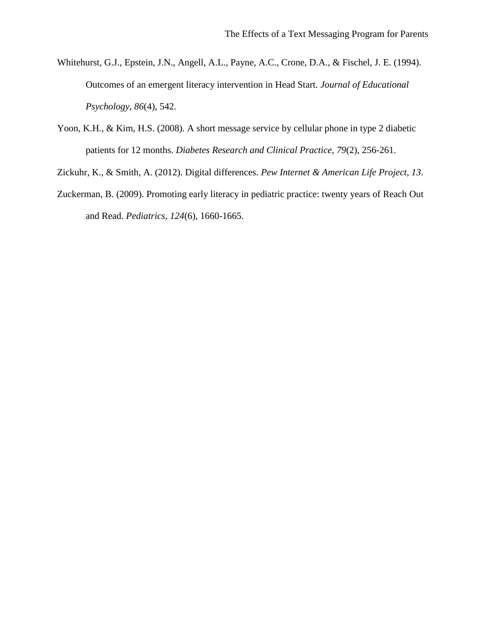- Whitehurst, G.J., Epstein, J.N., Angell, A.L., Payne, A.C., Crone, D.A., & Fischel, J. E. (1994). Outcomes of an emergent literacy intervention in Head Start. *Journal of Educational Psychology*, *86*(4), 542.
- Yoon, K.H., & Kim, H.S. (2008). A short message service by cellular phone in type 2 diabetic patients for 12 months. *Diabetes Research and Clinical Practice*, *79*(2), 256-261.
- Zickuhr, K., & Smith, A. (2012). Digital differences. *Pew Internet & American Life Project*, *13*.
- Zuckerman, B. (2009). Promoting early literacy in pediatric practice: twenty years of Reach Out and Read. *Pediatrics*, *124*(6), 1660-1665.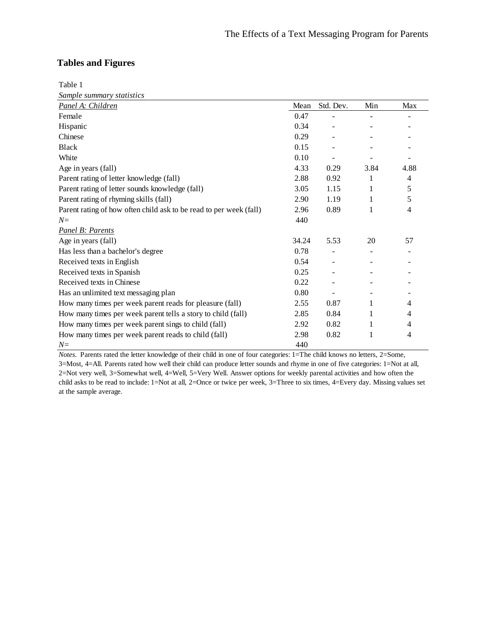# **Tables and Figures**

Table 1

*Sample summary statistics*

| Panel A: Children                                                  | Mean  | Std. Dev. | Min  | Max  |
|--------------------------------------------------------------------|-------|-----------|------|------|
| Female                                                             | 0.47  |           |      |      |
| Hispanic                                                           | 0.34  |           |      |      |
| Chinese                                                            | 0.29  |           |      |      |
| <b>Black</b>                                                       | 0.15  |           |      |      |
| White                                                              | 0.10  |           |      |      |
| Age in years (fall)                                                | 4.33  | 0.29      | 3.84 | 4.88 |
| Parent rating of letter knowledge (fall)                           | 2.88  | 0.92      | 1    | 4    |
| Parent rating of letter sounds knowledge (fall)                    | 3.05  | 1.15      | 1    | 5    |
| Parent rating of rhyming skills (fall)                             | 2.90  | 1.19      | 1    | 5    |
| Parent rating of how often child ask to be read to per week (fall) | 2.96  | 0.89      | 1    | 4    |
| $N=$                                                               | 440   |           |      |      |
| Panel B: Parents                                                   |       |           |      |      |
| Age in years (fall)                                                | 34.24 | 5.53      | 20   | 57   |
| Has less than a bachelor's degree                                  | 0.78  |           |      |      |
| Received texts in English                                          | 0.54  |           |      |      |
| Received texts in Spanish                                          | 0.25  |           |      |      |
| Received texts in Chinese                                          | 0.22  |           |      |      |
| Has an unlimited text messaging plan                               | 0.80  |           |      |      |
| How many times per week parent reads for pleasure (fall)           | 2.55  | 0.87      | 1    | 4    |
| How many times per week parent tells a story to child (fall)       | 2.85  | 0.84      | 1    | 4    |
| How many times per week parent sings to child (fall)               | 2.92  | 0.82      | 1    | 4    |
| How many times per week parent reads to child (fall)               | 2.98  | 0.82      | 1    | 4    |
| $N =$                                                              | 440   |           |      |      |

*Notes.* Parents rated the letter knowledge of their child in one of four categories: 1=The child knows no letters, 2=Some, 3=Most, 4=All. Parents rated how well their child can produce letter sounds and rhyme in one of five categories: 1=Not at all, 2=Not very well, 3=Somewhat well, 4=Well, 5=Very Well. Answer options for weekly parental activities and how often the child asks to be read to include: 1=Not at all, 2=Once or twice per week, 3=Three to six times, 4=Every day. Missing values set at the sample average.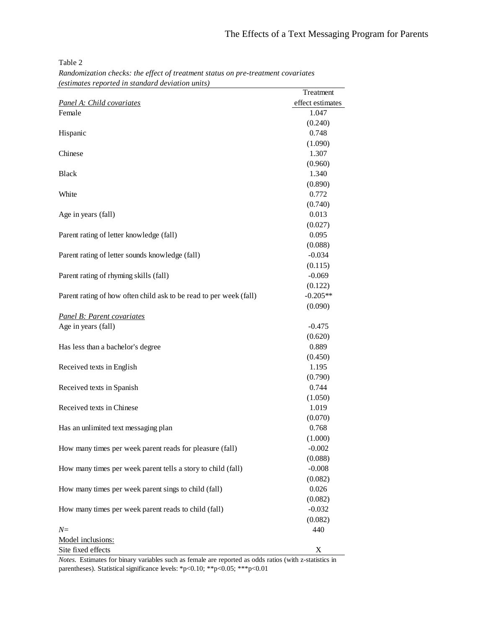*Randomization checks: the effect of treatment status on pre-treatment covariates (estimates reported in standard deviation units)*

|                                                                    | Treatment        |
|--------------------------------------------------------------------|------------------|
| Panel A: Child covariates                                          | effect estimates |
| Female                                                             | 1.047            |
|                                                                    | (0.240)          |
| Hispanic                                                           | 0.748            |
|                                                                    | (1.090)          |
| Chinese                                                            | 1.307            |
|                                                                    | (0.960)          |
| <b>Black</b>                                                       | 1.340            |
|                                                                    | (0.890)          |
| White                                                              | 0.772            |
|                                                                    | (0.740)          |
| Age in years (fall)                                                | 0.013            |
|                                                                    | (0.027)          |
| Parent rating of letter knowledge (fall)                           | 0.095            |
|                                                                    | (0.088)          |
| Parent rating of letter sounds knowledge (fall)                    | $-0.034$         |
|                                                                    | (0.115)          |
| Parent rating of rhyming skills (fall)                             | $-0.069$         |
|                                                                    | (0.122)          |
| Parent rating of how often child ask to be read to per week (fall) | $-0.205**$       |
|                                                                    | (0.090)          |
| Panel B: Parent covariates                                         |                  |
| Age in years (fall)                                                | $-0.475$         |
|                                                                    | (0.620)          |
| Has less than a bachelor's degree                                  | 0.889            |
|                                                                    | (0.450)          |
| Received texts in English                                          | 1.195            |
|                                                                    | (0.790)          |
| Received texts in Spanish                                          | 0.744            |
|                                                                    | (1.050)          |
| Received texts in Chinese                                          | 1.019            |
|                                                                    | (0.070)          |
| Has an unlimited text messaging plan                               | 0.768            |
|                                                                    | (1.000)          |
| How many times per week parent reads for pleasure (fall)           | $-0.002$         |
|                                                                    | (0.088)          |
| How many times per week parent tells a story to child (fall)       | $-0.008$         |
|                                                                    | (0.082)          |
| How many times per week parent sings to child (fall)               | 0.026            |
|                                                                    | (0.082)          |
| How many times per week parent reads to child (fall)               | $-0.032$         |
|                                                                    | (0.082)          |
| $N =$                                                              | 440              |
| Model inclusions:                                                  |                  |
| Site fixed effects                                                 | X                |

*Notes.* Estimates for binary variables such as female are reported as odds ratios (with z-statistics in parentheses). Statistical significance levels: \*p<0.10; \*\*p<0.05; \*\*\*p<0.01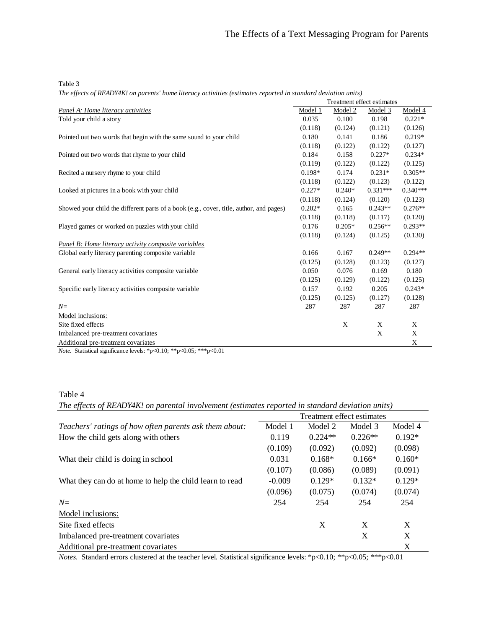*The effects of READY4K! on parents' home literacy activities (estimates reported in standard deviation units)*

| Panel A: Home literacy activities<br>Model 1<br>Model 2<br>Model 4<br>Model 3<br>$0.221*$<br>Told your child a story<br>0.035<br>0.100<br>0.198<br>(0.118)<br>(0.124)<br>(0.126)<br>(0.121)<br>$0.219*$<br>Pointed out two words that begin with the same sound to your child<br>0.180<br>0.141<br>0.186<br>(0.118)<br>(0.122)<br>(0.122)<br>(0.127)<br>0.184<br>0.158<br>$0.227*$<br>$0.234*$<br>Pointed out two words that rhyme to your child<br>(0.119)<br>(0.122)<br>(0.125)<br>(0.122)<br>0.198*<br>$0.231*$<br>$0.305**$<br>Recited a nursery rhyme to your child<br>0.174<br>(0.118)<br>(0.123)<br>(0.122)<br>(0.122)<br>$0.227*$<br>$0.331***$<br>$0.340***$<br>Looked at pictures in a book with your child<br>$0.240*$<br>(0.118)<br>(0.124)<br>(0.120)<br>(0.123)<br>$0.202*$<br>0.165<br>$0.243**$<br>$0.276**$<br>Showed your child the different parts of a book (e.g., cover, title, author, and pages)<br>(0.118)<br>(0.118)<br>(0.117)<br>(0.120)<br>$0.293**$<br>0.176<br>$0.205*$<br>$0.256**$<br>Played games or worked on puzzles with your child<br>(0.118)<br>(0.125)<br>(0.124)<br>(0.130)<br>Panel B: Home literacy activity composite variables<br>0.166<br>$0.249**$<br>$0.294**$<br>0.167<br>Global early literacy parenting composite variable<br>(0.125)<br>(0.128)<br>(0.123)<br>(0.127)<br>0.050<br>0.076<br>0.169<br>0.180<br>General early literacy activities composite variable<br>(0.125)<br>(0.129)<br>(0.122)<br>(0.125)<br>Specific early literacy activities composite variable<br>0.157<br>0.192<br>0.205<br>$0.243*$<br>(0.125)<br>(0.125)<br>(0.127)<br>(0.128)<br>287<br>287<br>287<br>$N =$<br>287<br>Model inclusions:<br>$\mathbf X$<br>X<br>X<br>Site fixed effects<br>$\mathbf X$<br>X<br>Imbalanced pre-treatment covariates<br>X<br>Additional pre-treatment covariates<br>$\sim$ $\sim$ $\sim$ $\sim$ $\sim$ | Treatment effect estimates |  |  |  |
|--------------------------------------------------------------------------------------------------------------------------------------------------------------------------------------------------------------------------------------------------------------------------------------------------------------------------------------------------------------------------------------------------------------------------------------------------------------------------------------------------------------------------------------------------------------------------------------------------------------------------------------------------------------------------------------------------------------------------------------------------------------------------------------------------------------------------------------------------------------------------------------------------------------------------------------------------------------------------------------------------------------------------------------------------------------------------------------------------------------------------------------------------------------------------------------------------------------------------------------------------------------------------------------------------------------------------------------------------------------------------------------------------------------------------------------------------------------------------------------------------------------------------------------------------------------------------------------------------------------------------------------------------------------------------------------------------------------------------------------------------------------------------------------------------------------------------------------------------------------------|----------------------------|--|--|--|
|                                                                                                                                                                                                                                                                                                                                                                                                                                                                                                                                                                                                                                                                                                                                                                                                                                                                                                                                                                                                                                                                                                                                                                                                                                                                                                                                                                                                                                                                                                                                                                                                                                                                                                                                                                                                                                                                    |                            |  |  |  |
|                                                                                                                                                                                                                                                                                                                                                                                                                                                                                                                                                                                                                                                                                                                                                                                                                                                                                                                                                                                                                                                                                                                                                                                                                                                                                                                                                                                                                                                                                                                                                                                                                                                                                                                                                                                                                                                                    |                            |  |  |  |
|                                                                                                                                                                                                                                                                                                                                                                                                                                                                                                                                                                                                                                                                                                                                                                                                                                                                                                                                                                                                                                                                                                                                                                                                                                                                                                                                                                                                                                                                                                                                                                                                                                                                                                                                                                                                                                                                    |                            |  |  |  |
|                                                                                                                                                                                                                                                                                                                                                                                                                                                                                                                                                                                                                                                                                                                                                                                                                                                                                                                                                                                                                                                                                                                                                                                                                                                                                                                                                                                                                                                                                                                                                                                                                                                                                                                                                                                                                                                                    |                            |  |  |  |
|                                                                                                                                                                                                                                                                                                                                                                                                                                                                                                                                                                                                                                                                                                                                                                                                                                                                                                                                                                                                                                                                                                                                                                                                                                                                                                                                                                                                                                                                                                                                                                                                                                                                                                                                                                                                                                                                    |                            |  |  |  |
|                                                                                                                                                                                                                                                                                                                                                                                                                                                                                                                                                                                                                                                                                                                                                                                                                                                                                                                                                                                                                                                                                                                                                                                                                                                                                                                                                                                                                                                                                                                                                                                                                                                                                                                                                                                                                                                                    |                            |  |  |  |
|                                                                                                                                                                                                                                                                                                                                                                                                                                                                                                                                                                                                                                                                                                                                                                                                                                                                                                                                                                                                                                                                                                                                                                                                                                                                                                                                                                                                                                                                                                                                                                                                                                                                                                                                                                                                                                                                    |                            |  |  |  |
|                                                                                                                                                                                                                                                                                                                                                                                                                                                                                                                                                                                                                                                                                                                                                                                                                                                                                                                                                                                                                                                                                                                                                                                                                                                                                                                                                                                                                                                                                                                                                                                                                                                                                                                                                                                                                                                                    |                            |  |  |  |
|                                                                                                                                                                                                                                                                                                                                                                                                                                                                                                                                                                                                                                                                                                                                                                                                                                                                                                                                                                                                                                                                                                                                                                                                                                                                                                                                                                                                                                                                                                                                                                                                                                                                                                                                                                                                                                                                    |                            |  |  |  |
|                                                                                                                                                                                                                                                                                                                                                                                                                                                                                                                                                                                                                                                                                                                                                                                                                                                                                                                                                                                                                                                                                                                                                                                                                                                                                                                                                                                                                                                                                                                                                                                                                                                                                                                                                                                                                                                                    |                            |  |  |  |
|                                                                                                                                                                                                                                                                                                                                                                                                                                                                                                                                                                                                                                                                                                                                                                                                                                                                                                                                                                                                                                                                                                                                                                                                                                                                                                                                                                                                                                                                                                                                                                                                                                                                                                                                                                                                                                                                    |                            |  |  |  |
|                                                                                                                                                                                                                                                                                                                                                                                                                                                                                                                                                                                                                                                                                                                                                                                                                                                                                                                                                                                                                                                                                                                                                                                                                                                                                                                                                                                                                                                                                                                                                                                                                                                                                                                                                                                                                                                                    |                            |  |  |  |
|                                                                                                                                                                                                                                                                                                                                                                                                                                                                                                                                                                                                                                                                                                                                                                                                                                                                                                                                                                                                                                                                                                                                                                                                                                                                                                                                                                                                                                                                                                                                                                                                                                                                                                                                                                                                                                                                    |                            |  |  |  |
|                                                                                                                                                                                                                                                                                                                                                                                                                                                                                                                                                                                                                                                                                                                                                                                                                                                                                                                                                                                                                                                                                                                                                                                                                                                                                                                                                                                                                                                                                                                                                                                                                                                                                                                                                                                                                                                                    |                            |  |  |  |
|                                                                                                                                                                                                                                                                                                                                                                                                                                                                                                                                                                                                                                                                                                                                                                                                                                                                                                                                                                                                                                                                                                                                                                                                                                                                                                                                                                                                                                                                                                                                                                                                                                                                                                                                                                                                                                                                    |                            |  |  |  |
|                                                                                                                                                                                                                                                                                                                                                                                                                                                                                                                                                                                                                                                                                                                                                                                                                                                                                                                                                                                                                                                                                                                                                                                                                                                                                                                                                                                                                                                                                                                                                                                                                                                                                                                                                                                                                                                                    |                            |  |  |  |
|                                                                                                                                                                                                                                                                                                                                                                                                                                                                                                                                                                                                                                                                                                                                                                                                                                                                                                                                                                                                                                                                                                                                                                                                                                                                                                                                                                                                                                                                                                                                                                                                                                                                                                                                                                                                                                                                    |                            |  |  |  |
|                                                                                                                                                                                                                                                                                                                                                                                                                                                                                                                                                                                                                                                                                                                                                                                                                                                                                                                                                                                                                                                                                                                                                                                                                                                                                                                                                                                                                                                                                                                                                                                                                                                                                                                                                                                                                                                                    |                            |  |  |  |
|                                                                                                                                                                                                                                                                                                                                                                                                                                                                                                                                                                                                                                                                                                                                                                                                                                                                                                                                                                                                                                                                                                                                                                                                                                                                                                                                                                                                                                                                                                                                                                                                                                                                                                                                                                                                                                                                    |                            |  |  |  |
|                                                                                                                                                                                                                                                                                                                                                                                                                                                                                                                                                                                                                                                                                                                                                                                                                                                                                                                                                                                                                                                                                                                                                                                                                                                                                                                                                                                                                                                                                                                                                                                                                                                                                                                                                                                                                                                                    |                            |  |  |  |
|                                                                                                                                                                                                                                                                                                                                                                                                                                                                                                                                                                                                                                                                                                                                                                                                                                                                                                                                                                                                                                                                                                                                                                                                                                                                                                                                                                                                                                                                                                                                                                                                                                                                                                                                                                                                                                                                    |                            |  |  |  |
|                                                                                                                                                                                                                                                                                                                                                                                                                                                                                                                                                                                                                                                                                                                                                                                                                                                                                                                                                                                                                                                                                                                                                                                                                                                                                                                                                                                                                                                                                                                                                                                                                                                                                                                                                                                                                                                                    |                            |  |  |  |
|                                                                                                                                                                                                                                                                                                                                                                                                                                                                                                                                                                                                                                                                                                                                                                                                                                                                                                                                                                                                                                                                                                                                                                                                                                                                                                                                                                                                                                                                                                                                                                                                                                                                                                                                                                                                                                                                    |                            |  |  |  |
|                                                                                                                                                                                                                                                                                                                                                                                                                                                                                                                                                                                                                                                                                                                                                                                                                                                                                                                                                                                                                                                                                                                                                                                                                                                                                                                                                                                                                                                                                                                                                                                                                                                                                                                                                                                                                                                                    |                            |  |  |  |
|                                                                                                                                                                                                                                                                                                                                                                                                                                                                                                                                                                                                                                                                                                                                                                                                                                                                                                                                                                                                                                                                                                                                                                                                                                                                                                                                                                                                                                                                                                                                                                                                                                                                                                                                                                                                                                                                    |                            |  |  |  |
|                                                                                                                                                                                                                                                                                                                                                                                                                                                                                                                                                                                                                                                                                                                                                                                                                                                                                                                                                                                                                                                                                                                                                                                                                                                                                                                                                                                                                                                                                                                                                                                                                                                                                                                                                                                                                                                                    |                            |  |  |  |
|                                                                                                                                                                                                                                                                                                                                                                                                                                                                                                                                                                                                                                                                                                                                                                                                                                                                                                                                                                                                                                                                                                                                                                                                                                                                                                                                                                                                                                                                                                                                                                                                                                                                                                                                                                                                                                                                    |                            |  |  |  |

*Note.* Statistical significance levels: \*p<0.10; \*\*p<0.05; \*\*\*p<0.01

Table 4

*The effects of READY4K! on parental involvement (estimates reported in standard deviation units)*

|                                                          | Treatment effect estimates |           |           |          |  |
|----------------------------------------------------------|----------------------------|-----------|-----------|----------|--|
| Teachers' ratings of how often parents ask them about:   | Model 1                    | Model 2   | Model 3   | Model 4  |  |
| How the child gets along with others                     | 0.119                      | $0.224**$ | $0.226**$ | $0.192*$ |  |
|                                                          | (0.109)                    | (0.092)   | (0.092)   | (0.098)  |  |
| What their child is doing in school                      | 0.031                      | $0.168*$  | $0.166*$  | $0.160*$ |  |
|                                                          | (0.107)                    | (0.086)   | (0.089)   | (0.091)  |  |
| What they can do at home to help the child learn to read | $-0.009$                   | $0.129*$  | $0.132*$  | $0.129*$ |  |
|                                                          | (0.096)                    | (0.075)   | (0.074)   | (0.074)  |  |
| $N=$                                                     | 254                        | 254       | 254       | 254      |  |
| Model inclusions:                                        |                            |           |           |          |  |
| Site fixed effects                                       |                            | X         | X         | X        |  |
| Imbalanced pre-treatment covariates                      |                            |           | X         | X        |  |
| Additional pre-treatment covariates                      |                            |           |           | X        |  |

*Notes.* Standard errors clustered at the teacher level. Statistical significance levels: \*p<0.10; \*\*p<0.05; \*\*\*p<0.01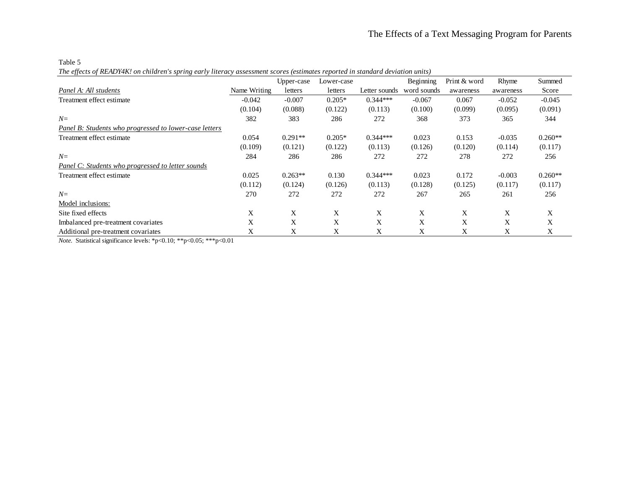Table 5

*The effects of READY4K! on children's spring early literacy assessment scores (estimates reported in standard deviation units)*

|                                                                            |              | Upper-case | Lower-case |               | Beginning   | Print & word | Rhyme     | Summed    |
|----------------------------------------------------------------------------|--------------|------------|------------|---------------|-------------|--------------|-----------|-----------|
| Panel A: All students                                                      | Name Writing | letters    | letters    | Letter sounds | word sounds | awareness    | awareness | Score     |
| Treatment effect estimate                                                  | $-0.042$     | $-0.007$   | $0.205*$   | $0.344***$    | $-0.067$    | 0.067        | $-0.052$  | $-0.045$  |
|                                                                            | (0.104)      | (0.088)    | (0.122)    | (0.113)       | (0.100)     | (0.099)      | (0.095)   | (0.091)   |
| $N=$                                                                       | 382          | 383        | 286        | 272           | 368         | 373          | 365       | 344       |
| Panel B: Students who progressed to lower-case letters                     |              |            |            |               |             |              |           |           |
| Treatment effect estimate                                                  | 0.054        | $0.291**$  | $0.205*$   | $0.344***$    | 0.023       | 0.153        | $-0.035$  | $0.260**$ |
|                                                                            | (0.109)      | (0.121)    | (0.122)    | (0.113)       | (0.126)     | (0.120)      | (0.114)   | (0.117)   |
| $N=$                                                                       | 284          | 286        | 286        | 272           | 272         | 278          | 272       | 256       |
| Panel C: Students who progressed to letter sounds                          |              |            |            |               |             |              |           |           |
| Treatment effect estimate                                                  | 0.025        | $0.263**$  | 0.130      | $0.344***$    | 0.023       | 0.172        | $-0.003$  | $0.260**$ |
|                                                                            | (0.112)      | (0.124)    | (0.126)    | (0.113)       | (0.128)     | (0.125)      | (0.117)   | (0.117)   |
| $N=$                                                                       | 270          | 272        | 272        | 272           | 267         | 265          | 261       | 256       |
| Model inclusions:                                                          |              |            |            |               |             |              |           |           |
| Site fixed effects                                                         | X            | X          | X          | X             | X           | X            | X         | X         |
| Imbalanced pre-treatment covariates                                        | X            | X          | X          | X             | X           | X            | X         | X         |
| Additional pre-treatment covariates                                        | X            | X          | X          | X             | Χ           | Χ            | X         | Χ         |
| <i>Note.</i> Statistical significance levels: *p<0.10; **p<0.05; ***p<0.01 |              |            |            |               |             |              |           |           |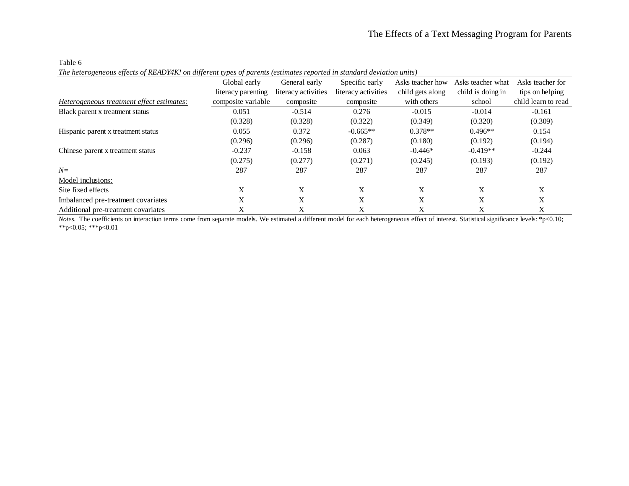*The heterogeneous effects of READY4K! on different types of parents (estimates reported in standard deviation units)*

|                                           | Global early       | General early       | Specific early      | Asks teacher how | Asks teacher what | Asks teacher for    |
|-------------------------------------------|--------------------|---------------------|---------------------|------------------|-------------------|---------------------|
|                                           | literacy parenting | literacy activities | literacy activities | child gets along | child is doing in | tips on helping     |
| Heterogeneous treatment effect estimates: | composite variable | composite           | composite           | with others      | school            | child learn to read |
| Black parent x treatment status           | 0.051              | $-0.514$            | 0.276               | $-0.015$         | $-0.014$          | $-0.161$            |
|                                           | (0.328)            | (0.328)             | (0.322)             | (0.349)          | (0.320)           | (0.309)             |
| Hispanic parent x treatment status        | 0.055              | 0.372               | $-0.665**$          | $0.378**$        | $0.496**$         | 0.154               |
|                                           | (0.296)            | (0.296)             | (0.287)             | (0.180)          | (0.192)           | (0.194)             |
| Chinese parent x treatment status         | $-0.237$           | $-0.158$            | 0.063               | $-0.446*$        | $-0.419**$        | $-0.244$            |
|                                           | (0.275)            | (0.277)             | (0.271)             | (0.245)          | (0.193)           | (0.192)             |
| $N=$                                      | 287                | 287                 | 287                 | 287              | 287               | 287                 |
| Model inclusions:                         |                    |                     |                     |                  |                   |                     |
| Site fixed effects                        | X                  | X                   | X                   | X                | X                 | X                   |
| Imbalanced pre-treatment covariates       | X                  | X                   | X                   | X                | X                 | X                   |
| Additional pre-treatment covariates       | X                  | X                   | X                   | X                | X                 | X                   |

*Notes*. The coefficients on interaction terms come from separate models. We estimated a different model for each heterogeneous effect of interest. Statistical significance levels: \*p<0.10; \*\*p<0.05; \*\*\*p<0.01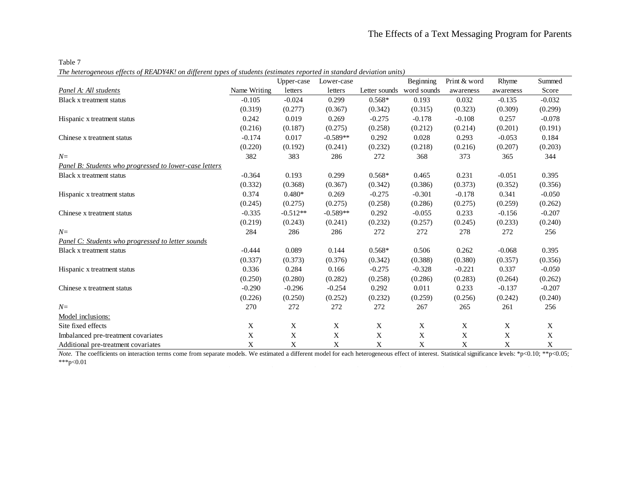Table 7

*The heterogeneous effects of READY4K! on different types of students (estimates reported in standard deviation units)*

|                                                        |              | Upper-case | Lower-case  |               | Beginning   | Print & word | Rhyme     | Summed   |
|--------------------------------------------------------|--------------|------------|-------------|---------------|-------------|--------------|-----------|----------|
| Panel A: All students                                  | Name Writing | letters    | letters     | Letter sounds | word sounds | awareness    | awareness | Score    |
| Black x treatment status                               | $-0.105$     | $-0.024$   | 0.299       | $0.568*$      | 0.193       | 0.032        | $-0.135$  | $-0.032$ |
|                                                        | (0.319)      | (0.277)    | (0.367)     | (0.342)       | (0.315)     | (0.323)      | (0.309)   | (0.299)  |
| Hispanic x treatment status                            | 0.242        | 0.019      | 0.269       | $-0.275$      | $-0.178$    | $-0.108$     | 0.257     | $-0.078$ |
|                                                        | (0.216)      | (0.187)    | (0.275)     | (0.258)       | (0.212)     | (0.214)      | (0.201)   | (0.191)  |
| Chinese x treatment status                             | $-0.174$     | 0.017      | $-0.589**$  | 0.292         | 0.028       | 0.293        | $-0.053$  | 0.184    |
|                                                        | (0.220)      | (0.192)    | (0.241)     | (0.232)       | (0.218)     | (0.216)      | (0.207)   | (0.203)  |
| $N=$                                                   | 382          | 383        | 286         | 272           | 368         | 373          | 365       | 344      |
| Panel B: Students who progressed to lower-case letters |              |            |             |               |             |              |           |          |
| Black x treatment status                               | $-0.364$     | 0.193      | 0.299       | $0.568*$      | 0.465       | 0.231        | $-0.051$  | 0.395    |
|                                                        | (0.332)      | (0.368)    | (0.367)     | (0.342)       | (0.386)     | (0.373)      | (0.352)   | (0.356)  |
| Hispanic x treatment status                            | 0.374        | $0.480*$   | 0.269       | $-0.275$      | $-0.301$    | $-0.178$     | 0.341     | $-0.050$ |
|                                                        | (0.245)      | (0.275)    | (0.275)     | (0.258)       | (0.286)     | (0.275)      | (0.259)   | (0.262)  |
| Chinese x treatment status                             | $-0.335$     | $-0.512**$ | $-0.589**$  | 0.292         | $-0.055$    | 0.233        | $-0.156$  | $-0.207$ |
|                                                        | (0.219)      | (0.243)    | (0.241)     | (0.232)       | (0.257)     | (0.245)      | (0.233)   | (0.240)  |
| $N=$                                                   | 284          | 286        | 286         | 272           | 272         | 278          | 272       | 256      |
| Panel C: Students who progressed to letter sounds      |              |            |             |               |             |              |           |          |
| Black x treatment status                               | $-0.444$     | 0.089      | 0.144       | $0.568*$      | 0.506       | 0.262        | $-0.068$  | 0.395    |
|                                                        | (0.337)      | (0.373)    | (0.376)     | (0.342)       | (0.388)     | (0.380)      | (0.357)   | (0.356)  |
| Hispanic x treatment status                            | 0.336        | 0.284      | 0.166       | $-0.275$      | $-0.328$    | $-0.221$     | 0.337     | $-0.050$ |
|                                                        | (0.250)      | (0.280)    | (0.282)     | (0.258)       | (0.286)     | (0.283)      | (0.264)   | (0.262)  |
| Chinese x treatment status                             | $-0.290$     | $-0.296$   | $-0.254$    | 0.292         | 0.011       | 0.233        | $-0.137$  | $-0.207$ |
|                                                        | (0.226)      | (0.250)    | (0.252)     | (0.232)       | (0.259)     | (0.256)      | (0.242)   | (0.240)  |
| $N=$                                                   | 270          | 272        | 272         | 272           | 267         | 265          | 261       | 256      |
| Model inclusions:                                      |              |            |             |               |             |              |           |          |
| Site fixed effects                                     | X            | X          | X           | $\mathbf X$   | X           | $\mathbf X$  | X         | X        |
| Imbalanced pre-treatment covariates                    | X            | X          | $\mathbf X$ | X             | X           | X            | X         | X        |
| Additional pre-treatment covariates                    | X            | X          | X           | X             | X           | X            | X         | X        |

*Note.* The coefficients on interaction terms come from separate models. We estimated a different model for each heterogeneous effect of interest. Statistical significance levels: \*p<0.10; \*\*p<0.05;  $***p<0.01$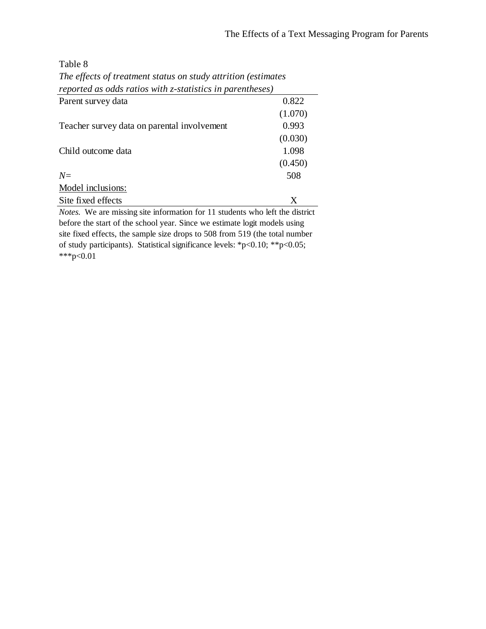Parent survey data 0.822 *The effects of treatment status on study attrition (estimates reported as odds ratios with z-statistics in parentheses)*

| T arvin sur ve y uam                                                               |         |
|------------------------------------------------------------------------------------|---------|
|                                                                                    | (1.070) |
| Teacher survey data on parental involvement                                        | 0.993   |
|                                                                                    | (0.030) |
| Child outcome data                                                                 | 1.098   |
|                                                                                    | (0.450) |
| $N=$                                                                               | 508     |
| Model inclusions:                                                                  |         |
| Site fixed effects                                                                 | X       |
| <i>Notes</i> We are missing site information for 11 students who left the district |         |

*Notes.* We are missing site information for 11 students who left the district before the start of the school year. Since we estimate logit models using site fixed effects, the sample size drops to 508 from 519 (the total number of study participants). Statistical significance levels: \*p<0.10; \*\*p<0.05; \*\*\*p< $\leq 0.01$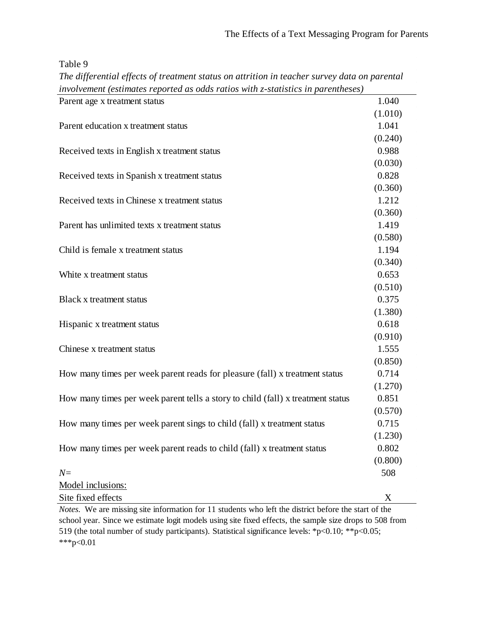| The differential effects of treatment status on attrition in teacher survey data on parental |         |
|----------------------------------------------------------------------------------------------|---------|
| involvement (estimates reported as odds ratios with z-statistics in parentheses)             |         |
| Parent age x treatment status                                                                | 1.040   |
|                                                                                              | (1.010) |
| Parent education x treatment status                                                          | 1.041   |
|                                                                                              | (0.240) |
| Received texts in English x treatment status                                                 | 0.988   |
|                                                                                              | (0.030) |
| Received texts in Spanish x treatment status                                                 | 0.828   |
|                                                                                              | (0.360) |
| Received texts in Chinese x treatment status                                                 | 1.212   |
|                                                                                              | (0.360) |
| Parent has unlimited texts x treatment status                                                | 1.419   |
|                                                                                              | (0.580) |
| Child is female x treatment status                                                           | 1.194   |
|                                                                                              | (0.340) |
| White x treatment status                                                                     | 0.653   |
|                                                                                              | (0.510) |
| Black x treatment status                                                                     | 0.375   |
|                                                                                              | (1.380) |
| Hispanic x treatment status                                                                  | 0.618   |
|                                                                                              | (0.910) |
| Chinese x treatment status                                                                   | 1.555   |
|                                                                                              | (0.850) |
| How many times per week parent reads for pleasure (fall) x treatment status                  | 0.714   |
|                                                                                              | (1.270) |
| How many times per week parent tells a story to child (fall) x treatment status              | 0.851   |
|                                                                                              | (0.570) |
| How many times per week parent sings to child (fall) x treatment status                      | 0.715   |
|                                                                                              | (1.230) |
| How many times per week parent reads to child (fall) x treatment status                      | 0.802   |
|                                                                                              | (0.800) |
| $N=$                                                                                         | 508     |
| Model inclusions:                                                                            |         |
| Site fixed effects                                                                           | X       |

*Notes.* We are missing site information for 11 students who left the district before the start of the school year. Since we estimate logit models using site fixed effects, the sample size drops to 508 from 519 (the total number of study participants). Statistical significance levels: \*p<0.10; \*\*p<0.05; \*\*\*p<0.01

 $\epsilon$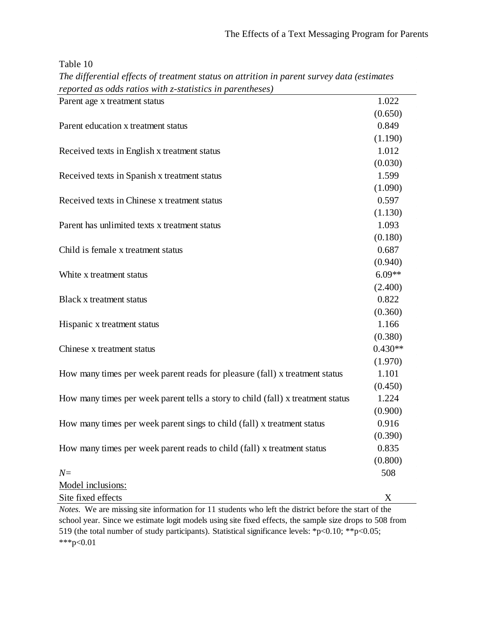(0.380)

| Table | -10 |
|-------|-----|
|-------|-----|

| The afflerential effects of treatment status on attrition in parent survey adia (estimates |          |
|--------------------------------------------------------------------------------------------|----------|
| reported as odds ratios with z-statistics in parentheses)                                  |          |
| Parent age x treatment status                                                              | 1.022    |
|                                                                                            | (0.650)  |
| Parent education x treatment status                                                        | 0.849    |
|                                                                                            | (1.190)  |
| Received texts in English x treatment status                                               | 1.012    |
|                                                                                            | (0.030)  |
| Received texts in Spanish x treatment status                                               | 1.599    |
|                                                                                            | (1.090)  |
| Received texts in Chinese x treatment status                                               | 0.597    |
|                                                                                            | (1.130)  |
| Parent has unlimited texts x treatment status                                              | 1.093    |
|                                                                                            | (0.180)  |
| Child is female x treatment status                                                         | 0.687    |
|                                                                                            | (0.940)  |
| White x treatment status                                                                   | $6.09**$ |
|                                                                                            | (2.400)  |
| Black x treatment status                                                                   | 0.822    |
|                                                                                            | (0.360)  |

| The differential effects of treatment status on attrition in parent survey data (estimates |  |
|--------------------------------------------------------------------------------------------|--|
| reported as odds ratios with z-statistics in parentheses)                                  |  |

Chinese x treatment status 0.430\*\*

| CHILLEST A LITRALITELLE STATUS                                                  | U.4.00  |
|---------------------------------------------------------------------------------|---------|
|                                                                                 | (1.970) |
| How many times per week parent reads for pleasure (fall) x treatment status     | 1.101   |
|                                                                                 | (0.450) |
| How many times per week parent tells a story to child (fall) x treatment status | 1.224   |
|                                                                                 | (0.900) |
| How many times per week parent sings to child (fall) x treatment status         | 0.916   |
|                                                                                 | (0.390) |
| How many times per week parent reads to child (fall) x treatment status         | 0.835   |
|                                                                                 | (0.800) |
| $N=$                                                                            | 508     |
| Model inclusions:                                                               |         |
|                                                                                 |         |

Hispanic x treatment status 1.166

Site fixed effects X *Notes.* We are missing site information for 11 students who left the district before the start of the school year. Since we estimate logit models using site fixed effects, the sample size drops to 508 from 519 (the total number of study participants). Statistical significance levels: \*p<0.10; \*\*p<0.05; \*\*\*p<0.01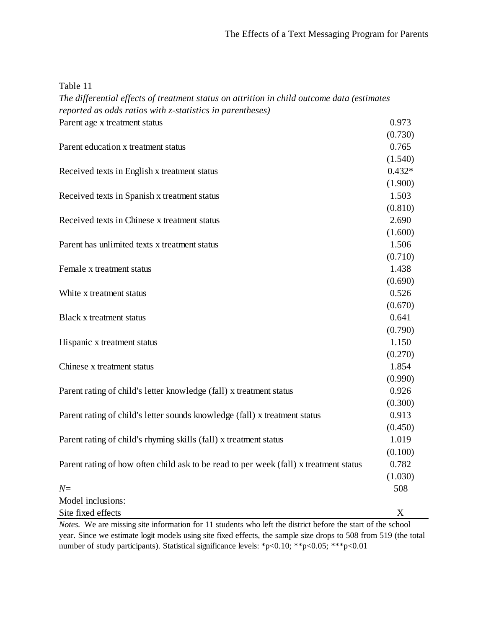| `able |  |  |
|-------|--|--|
|-------|--|--|

*The differential effects of treatment status on attrition in child outcome data (estimates reported as odds ratios with z-statistics in parentheses)*

| reported as outlished with $x$ statistics in parentileses                                                          |          |
|--------------------------------------------------------------------------------------------------------------------|----------|
| Parent age x treatment status                                                                                      | 0.973    |
|                                                                                                                    | (0.730)  |
| Parent education x treatment status                                                                                | 0.765    |
|                                                                                                                    | (1.540)  |
| Received texts in English x treatment status                                                                       | $0.432*$ |
|                                                                                                                    | (1.900)  |
| Received texts in Spanish x treatment status                                                                       | 1.503    |
|                                                                                                                    | (0.810)  |
| Received texts in Chinese x treatment status                                                                       | 2.690    |
|                                                                                                                    | (1.600)  |
| Parent has unlimited texts x treatment status                                                                      | 1.506    |
|                                                                                                                    | (0.710)  |
| Female x treatment status                                                                                          | 1.438    |
|                                                                                                                    | (0.690)  |
| White x treatment status                                                                                           | 0.526    |
|                                                                                                                    | (0.670)  |
| Black x treatment status                                                                                           | 0.641    |
|                                                                                                                    | (0.790)  |
| Hispanic x treatment status                                                                                        | 1.150    |
|                                                                                                                    | (0.270)  |
| Chinese x treatment status                                                                                         | 1.854    |
|                                                                                                                    | (0.990)  |
| Parent rating of child's letter knowledge (fall) x treatment status                                                | 0.926    |
|                                                                                                                    | (0.300)  |
| Parent rating of child's letter sounds knowledge (fall) x treatment status                                         | 0.913    |
|                                                                                                                    | (0.450)  |
| Parent rating of child's rhyming skills (fall) x treatment status                                                  | 1.019    |
|                                                                                                                    | (0.100)  |
| Parent rating of how often child ask to be read to per week (fall) x treatment status                              | 0.782    |
|                                                                                                                    | (1.030)  |
| $N=$                                                                                                               | 508      |
| Model inclusions:                                                                                                  |          |
| Site fixed effects                                                                                                 | X        |
| <i>Notes.</i> We are missing site information for 11 students who left the district before the start of the school |          |

*Notes.* We are missing site information for 11 students who left the district before the start of the school year. Since we estimate logit models using site fixed effects, the sample size drops to 508 from 519 (the total number of study participants). Statistical significance levels: \*p<0.10; \*\*p<0.05; \*\*\*p<0.01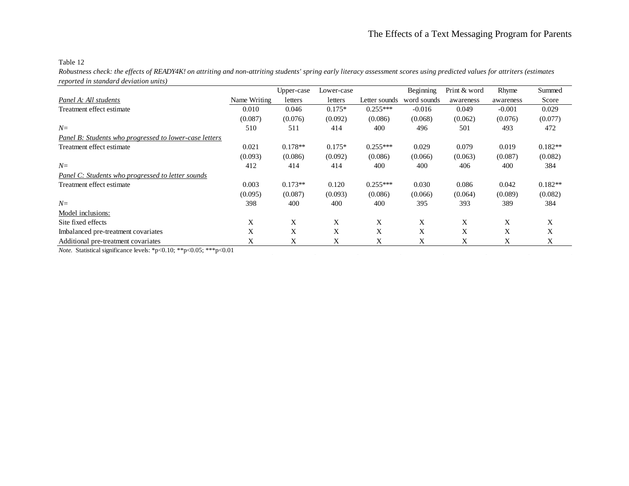*Robustness check: the effects of READY4K! on attriting and non-attriting students' spring early literacy assessment scores using predicted values for attriters (estimates reported in standard deviation units)*

|                                                                                                |              | Upper-case | Lower-case |               | Beginning   | Print & word | Rhyme     | Summed    |
|------------------------------------------------------------------------------------------------|--------------|------------|------------|---------------|-------------|--------------|-----------|-----------|
| Panel A: All students                                                                          | Name Writing | letters    | letters    | Letter sounds | word sounds | awareness    | awareness | Score     |
| Treatment effect estimate                                                                      | 0.010        | 0.046      | $0.175*$   | $0.255***$    | $-0.016$    | 0.049        | $-0.001$  | 0.029     |
|                                                                                                | (0.087)      | (0.076)    | (0.092)    | (0.086)       | (0.068)     | (0.062)      | (0.076)   | (0.077)   |
| $N=$                                                                                           | 510          | 511        | 414        | 400           | 496         | 501          | 493       | 472       |
| Panel B: Students who progressed to lower-case letters                                         |              |            |            |               |             |              |           |           |
| Treatment effect estimate                                                                      | 0.021        | $0.178**$  | $0.175*$   | $0.255***$    | 0.029       | 0.079        | 0.019     | $0.182**$ |
|                                                                                                | (0.093)      | (0.086)    | (0.092)    | (0.086)       | (0.066)     | (0.063)      | (0.087)   | (0.082)   |
| $N=$                                                                                           | 412          | 414        | 414        | 400           | 400         | 406          | 400       | 384       |
| Panel C: Students who progressed to letter sounds                                              |              |            |            |               |             |              |           |           |
| Treatment effect estimate                                                                      | 0.003        | $0.173**$  | 0.120      | $0.255***$    | 0.030       | 0.086        | 0.042     | $0.182**$ |
|                                                                                                | (0.095)      | (0.087)    | (0.093)    | (0.086)       | (0.066)     | (0.064)      | (0.089)   | (0.082)   |
| $N=$                                                                                           | 398          | 400        | 400        | 400           | 395         | 393          | 389       | 384       |
| Model inclusions:                                                                              |              |            |            |               |             |              |           |           |
| Site fixed effects                                                                             | X            | X          | X          | X             | X           | X            | X         | X         |
| Imbalanced pre-treatment covariates                                                            | X            | X          | X          | X             | X           | X            | X         | X         |
| Additional pre-treatment covariates                                                            | X            | X          | X          | X             | X           | X            | X         | X         |
| $Nota$ . Statistical significance lavale: $*n \leq 0.10$ , $* n \leq 0.05$ , $* * n \leq 0.01$ |              |            |            |               |             |              |           |           |

*Note.* Statistical significance levels: \*p<0.10; \*\*p<0.05; \*\*\*p<0.01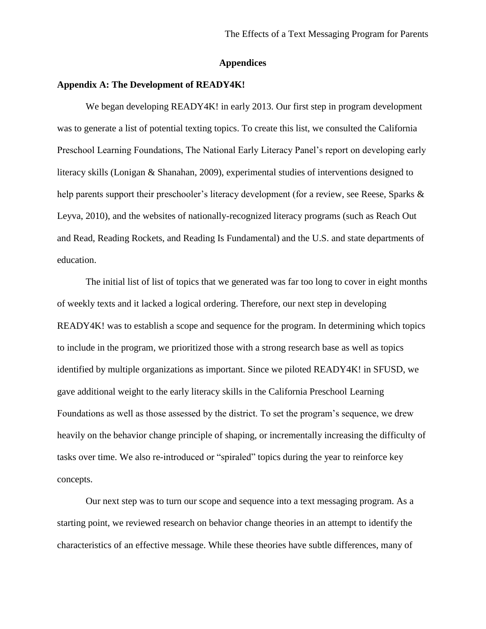## **Appendices**

# **Appendix A: The Development of READY4K!**

We began developing READY4K! in early 2013. Our first step in program development was to generate a list of potential texting topics. To create this list, we consulted the California Preschool Learning Foundations, The National Early Literacy Panel's report on developing early literacy skills (Lonigan & Shanahan, 2009), experimental studies of interventions designed to help parents support their preschooler's literacy development (for a review, see Reese, Sparks & Leyva, 2010), and the websites of nationally-recognized literacy programs (such as Reach Out and Read, Reading Rockets, and Reading Is Fundamental) and the U.S. and state departments of education.

The initial list of list of topics that we generated was far too long to cover in eight months of weekly texts and it lacked a logical ordering. Therefore, our next step in developing READY4K! was to establish a scope and sequence for the program. In determining which topics to include in the program, we prioritized those with a strong research base as well as topics identified by multiple organizations as important. Since we piloted READY4K! in SFUSD, we gave additional weight to the early literacy skills in the California Preschool Learning Foundations as well as those assessed by the district. To set the program's sequence, we drew heavily on the behavior change principle of shaping, or incrementally increasing the difficulty of tasks over time. We also re-introduced or "spiraled" topics during the year to reinforce key concepts.

Our next step was to turn our scope and sequence into a text messaging program. As a starting point, we reviewed research on behavior change theories in an attempt to identify the characteristics of an effective message. While these theories have subtle differences, many of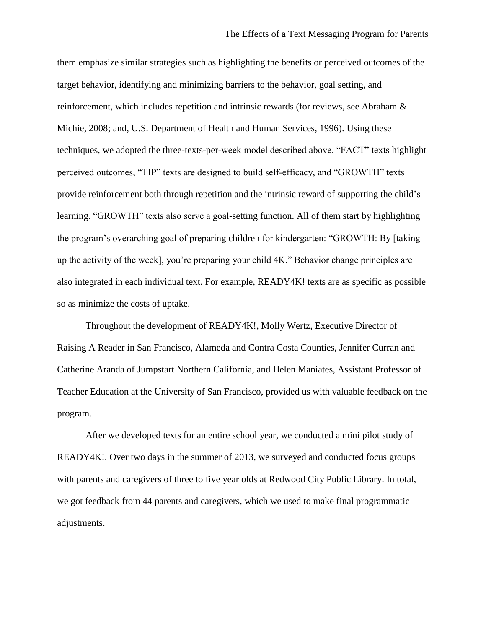them emphasize similar strategies such as highlighting the benefits or perceived outcomes of the target behavior, identifying and minimizing barriers to the behavior, goal setting, and reinforcement, which includes repetition and intrinsic rewards (for reviews, see Abraham & Michie, 2008; and, U.S. Department of Health and Human Services, 1996). Using these techniques, we adopted the three-texts-per-week model described above. "FACT" texts highlight perceived outcomes, "TIP" texts are designed to build self-efficacy, and "GROWTH" texts provide reinforcement both through repetition and the intrinsic reward of supporting the child's learning. "GROWTH" texts also serve a goal-setting function. All of them start by highlighting the program's overarching goal of preparing children for kindergarten: "GROWTH: By [taking up the activity of the week], you're preparing your child 4K." Behavior change principles are also integrated in each individual text. For example, READY4K! texts are as specific as possible so as minimize the costs of uptake.

Throughout the development of READY4K!, Molly Wertz, Executive Director of Raising A Reader in San Francisco, Alameda and Contra Costa Counties, Jennifer Curran and Catherine Aranda of Jumpstart Northern California, and Helen Maniates, Assistant Professor of Teacher Education at the University of San Francisco, provided us with valuable feedback on the program.

After we developed texts for an entire school year, we conducted a mini pilot study of READY4K!. Over two days in the summer of 2013, we surveyed and conducted focus groups with parents and caregivers of three to five year olds at Redwood City Public Library. In total, we got feedback from 44 parents and caregivers, which we used to make final programmatic adjustments.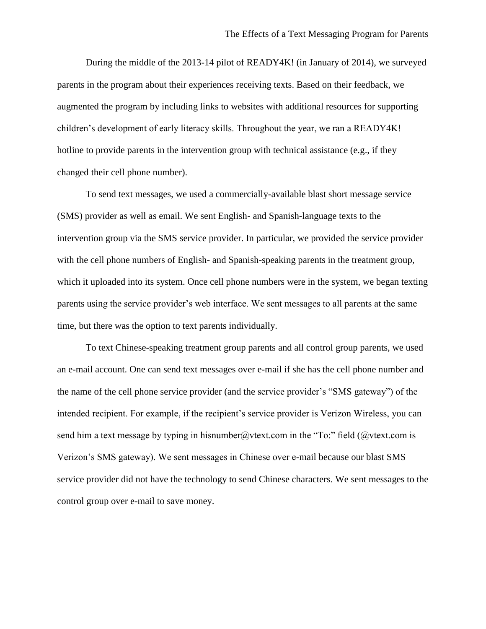During the middle of the 2013-14 pilot of READY4K! (in January of 2014), we surveyed parents in the program about their experiences receiving texts. Based on their feedback, we augmented the program by including links to websites with additional resources for supporting children's development of early literacy skills. Throughout the year, we ran a READY4K! hotline to provide parents in the intervention group with technical assistance (e.g., if they changed their cell phone number).

To send text messages, we used a commercially-available blast short message service (SMS) provider as well as email. We sent English- and Spanish-language texts to the intervention group via the SMS service provider. In particular, we provided the service provider with the cell phone numbers of English- and Spanish-speaking parents in the treatment group, which it uploaded into its system. Once cell phone numbers were in the system, we began texting parents using the service provider's web interface. We sent messages to all parents at the same time, but there was the option to text parents individually.

To text Chinese-speaking treatment group parents and all control group parents, we used an e-mail account. One can send text messages over e-mail if she has the cell phone number and the name of the cell phone service provider (and the service provider's "SMS gateway") of the intended recipient. For example, if the recipient's service provider is Verizon Wireless, you can send him a text message by typing in hisnumber@vtext.com in the "To:" field (@vtext.com is Verizon's SMS gateway). We sent messages in Chinese over e-mail because our blast SMS service provider did not have the technology to send Chinese characters. We sent messages to the control group over e-mail to save money.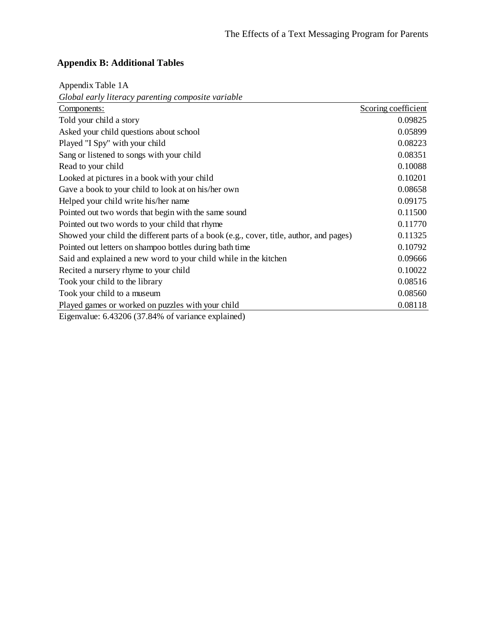# **Appendix B: Additional Tables**

Appendix Table 1A

*Global early literacy parenting composite variable*

| Components:                                                                             | Scoring coefficient |
|-----------------------------------------------------------------------------------------|---------------------|
| Told your child a story                                                                 | 0.09825             |
| Asked your child questions about school                                                 | 0.05899             |
| Played "I Spy" with your child                                                          | 0.08223             |
| Sang or listened to songs with your child                                               | 0.08351             |
| Read to your child                                                                      | 0.10088             |
| Looked at pictures in a book with your child                                            | 0.10201             |
| Gave a book to your child to look at on his/her own                                     | 0.08658             |
| Helped your child write his/her name                                                    | 0.09175             |
| Pointed out two words that begin with the same sound                                    | 0.11500             |
| Pointed out two words to your child that rhyme                                          | 0.11770             |
| Showed your child the different parts of a book (e.g., cover, title, author, and pages) | 0.11325             |
| Pointed out letters on shampoo bottles during bath time                                 | 0.10792             |
| Said and explained a new word to your child while in the kitchen                        | 0.09666             |
| Recited a nursery rhyme to your child                                                   | 0.10022             |
| Took your child to the library                                                          | 0.08516             |
| Took your child to a museum                                                             | 0.08560             |
| Played games or worked on puzzles with your child                                       | 0.08118             |
| $\Gamma$ , , 1, $\zeta$ 4220 $\zeta$ (27.040) $\zeta$ , , , , 1, , 1)                   |                     |

Eigenvalue: 6.43206 (37.84% of variance explained)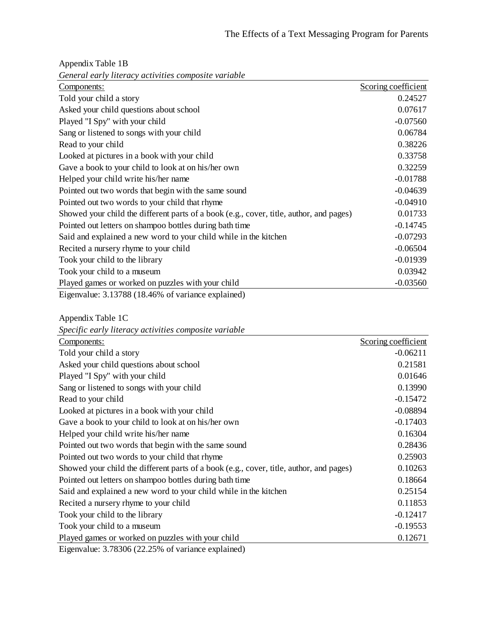*General early literacy activities composite variable* Components: Scoring coefficient Told your child a story 0.24527 Asked your child questions about school 0.07617 Played "I Spy" with your child -0.07560 Sang or listened to songs with your child 0.06784 Read to your child 0.38226 Looked at pictures in a book with your child 0.33758 Gave a book to your child to look at on his/her own 0.32259 Helped your child write his/her name  $-0.01788$ Pointed out two words that begin with the same sound  $-0.04639$ Pointed out two words to your child that rhyme -0.04910 Showed your child the different parts of a book (e.g., cover, title, author, and pages) 0.01733 Pointed out letters on shampoo bottles during bath time  $-0.14745$ Said and explained a new word to your child while in the kitchen -0.07293 Recited a nursery rhyme to your child -0.06504 Took your child to the library -0.01939 Took your child to a museum 0.03942 Played games or worked on puzzles with your child -0.03560 Eigenvalue: 3.13788 (18.46% of variance explained)

| Appendix Table 1B                                    |  |
|------------------------------------------------------|--|
| Conoral early literacy activities composite variable |  |

Appendix Table 1C

|  |  | Specific early literacy activities composite variable |  |
|--|--|-------------------------------------------------------|--|
|  |  |                                                       |  |

| Components:                                                                             | Scoring coefficient |
|-----------------------------------------------------------------------------------------|---------------------|
| Told your child a story                                                                 | $-0.06211$          |
| Asked your child questions about school                                                 | 0.21581             |
| Played "I Spy" with your child                                                          | 0.01646             |
| Sang or listened to songs with your child                                               | 0.13990             |
| Read to your child                                                                      | $-0.15472$          |
| Looked at pictures in a book with your child                                            | $-0.08894$          |
| Gave a book to your child to look at on his/her own                                     | $-0.17403$          |
| Helped your child write his/her name                                                    | 0.16304             |
| Pointed out two words that begin with the same sound                                    | 0.28436             |
| Pointed out two words to your child that rhyme                                          | 0.25903             |
| Showed your child the different parts of a book (e.g., cover, title, author, and pages) | 0.10263             |
| Pointed out letters on shampoo bottles during bath time                                 | 0.18664             |
| Said and explained a new word to your child while in the kitchen                        | 0.25154             |
| Recited a nursery rhyme to your child                                                   | 0.11853             |
| Took your child to the library                                                          | $-0.12417$          |
| Took your child to a museum                                                             | $-0.19553$          |
| Played games or worked on puzzles with your child                                       | 0.12671             |
| $\Gamma$ convolved 2.70206 (22.250) of verticines evaluated)                            |                     |

Eigenvalue: 3.78306 (22.25% of variance explained)